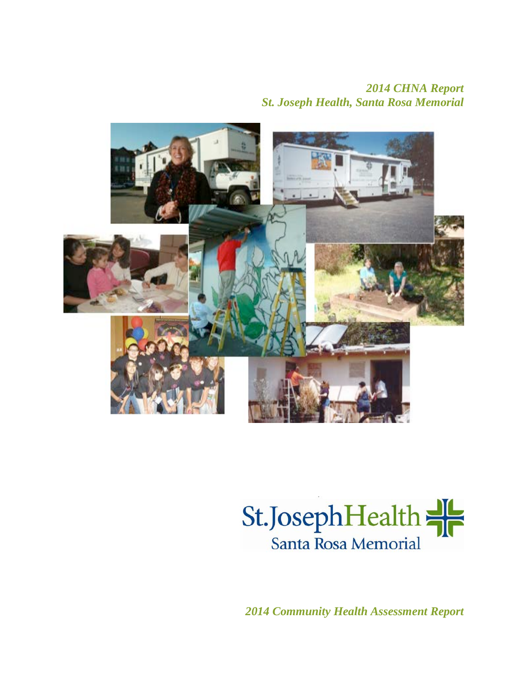# *2014 CHNA Report St. Joseph Health, Santa Rosa Memorial*





*2014 Community Health Assessment Report*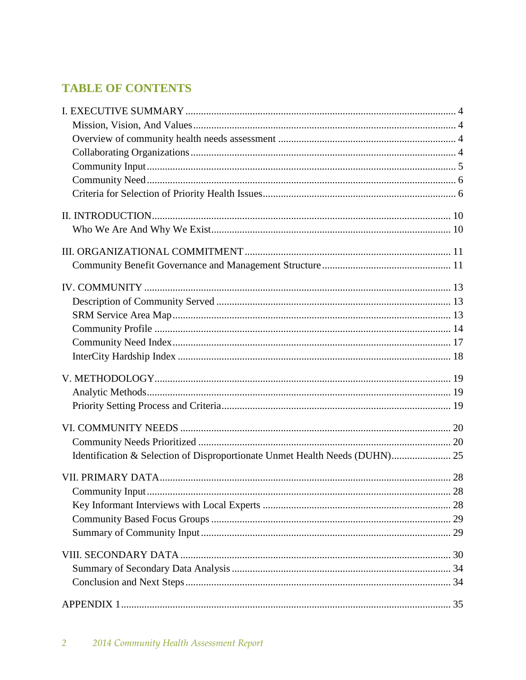# **TABLE OF CONTENTS**

| Identification & Selection of Disproportionate Unmet Health Needs (DUHN) 25 |  |
|-----------------------------------------------------------------------------|--|
|                                                                             |  |
|                                                                             |  |
|                                                                             |  |
|                                                                             |  |
|                                                                             |  |
|                                                                             |  |
|                                                                             |  |
|                                                                             |  |
|                                                                             |  |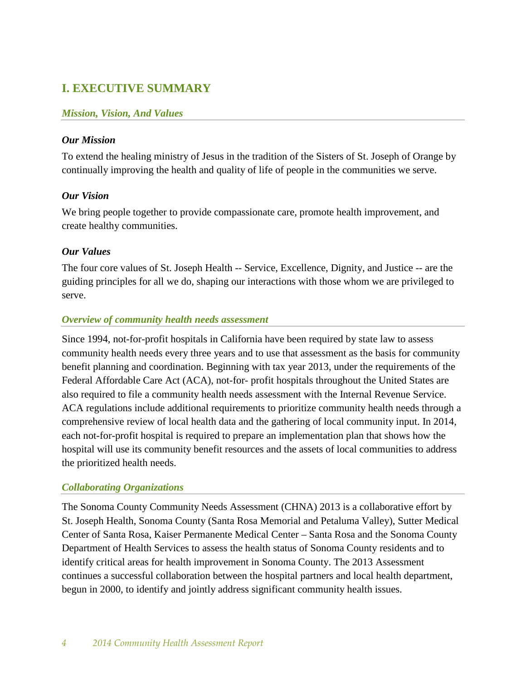# **I. EXECUTIVE SUMMARY**

## *Mission, Vision, And Values*

#### *Our Mission*

To extend the healing ministry of Jesus in the tradition of the Sisters of St. Joseph of Orange by continually improving the health and quality of life of people in the communities we serve.

#### *Our Vision*

We bring people together to provide compassionate care, promote health improvement, and create healthy communities.

#### *Our Values*

The four core values of St. Joseph Health -- Service, Excellence, Dignity, and Justice -- are the guiding principles for all we do, shaping our interactions with those whom we are privileged to serve.

#### *Overview of community health needs assessment*

Since 1994, not-for-profit hospitals in California have been required by state law to assess community health needs every three years and to use that assessment as the basis for community benefit planning and coordination. Beginning with tax year 2013, under the requirements of the Federal Affordable Care Act (ACA), not-for- profit hospitals throughout the United States are also required to file a community health needs assessment with the Internal Revenue Service. ACA regulations include additional requirements to prioritize community health needs through a comprehensive review of local health data and the gathering of local community input. In 2014, each not-for-profit hospital is required to prepare an implementation plan that shows how the hospital will use its community benefit resources and the assets of local communities to address the prioritized health needs.

## *Collaborating Organizations*

The Sonoma County Community Needs Assessment (CHNA) 2013 is a collaborative effort by St. Joseph Health, Sonoma County (Santa Rosa Memorial and Petaluma Valley), Sutter Medical Center of Santa Rosa, Kaiser Permanente Medical Center – Santa Rosa and the Sonoma County Department of Health Services to assess the health status of Sonoma County residents and to identify critical areas for health improvement in Sonoma County. The 2013 Assessment continues a successful collaboration between the hospital partners and local health department, begun in 2000, to identify and jointly address significant community health issues.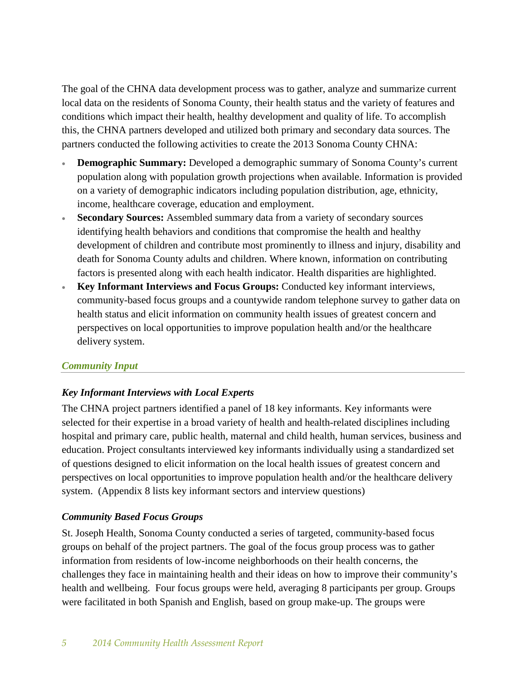The goal of the CHNA data development process was to gather, analyze and summarize current local data on the residents of Sonoma County, their health status and the variety of features and conditions which impact their health, healthy development and quality of life. To accomplish this, the CHNA partners developed and utilized both primary and secondary data sources. The partners conducted the following activities to create the 2013 Sonoma County CHNA:

- **Demographic Summary:** Developed a demographic summary of Sonoma County's current population along with population growth projections when available. Information is provided on a variety of demographic indicators including population distribution, age, ethnicity, income, healthcare coverage, education and employment.
- **Secondary Sources:** Assembled summary data from a variety of secondary sources identifying health behaviors and conditions that compromise the health and healthy development of children and contribute most prominently to illness and injury, disability and death for Sonoma County adults and children. Where known, information on contributing factors is presented along with each health indicator. Health disparities are highlighted.
- **Key Informant Interviews and Focus Groups:** Conducted key informant interviews, community-based focus groups and a countywide random telephone survey to gather data on health status and elicit information on community health issues of greatest concern and perspectives on local opportunities to improve population health and/or the healthcare delivery system.

## *Community Input*

# *Key Informant Interviews with Local Experts*

The CHNA project partners identified a panel of 18 key informants. Key informants were selected for their expertise in a broad variety of health and health-related disciplines including hospital and primary care, public health, maternal and child health, human services, business and education. Project consultants interviewed key informants individually using a standardized set of questions designed to elicit information on the local health issues of greatest concern and perspectives on local opportunities to improve population health and/or the healthcare delivery system. (Appendix 8 lists key informant sectors and interview questions)

## *Community Based Focus Groups*

St. Joseph Health, Sonoma County conducted a series of targeted, community-based focus groups on behalf of the project partners. The goal of the focus group process was to gather information from residents of low-income neighborhoods on their health concerns, the challenges they face in maintaining health and their ideas on how to improve their community's health and wellbeing. Four focus groups were held, averaging 8 participants per group. Groups were facilitated in both Spanish and English, based on group make-up. The groups were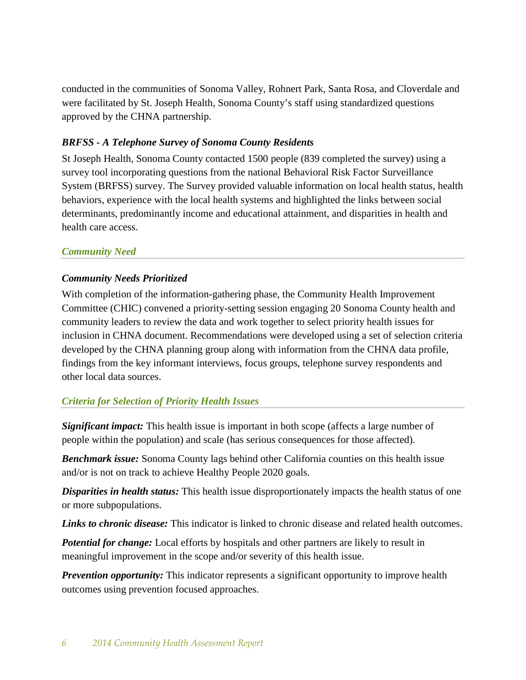conducted in the communities of Sonoma Valley, Rohnert Park, Santa Rosa, and Cloverdale and were facilitated by St. Joseph Health, Sonoma County's staff using standardized questions approved by the CHNA partnership.

## *BRFSS - A Telephone Survey of Sonoma County Residents*

St Joseph Health, Sonoma County contacted 1500 people (839 completed the survey) using a survey tool incorporating questions from the national Behavioral Risk Factor Surveillance System (BRFSS) survey. The Survey provided valuable information on local health status, health behaviors, experience with the local health systems and highlighted the links between social determinants, predominantly income and educational attainment, and disparities in health and health care access.

## *Community Need*

## *Community Needs Prioritized*

With completion of the information-gathering phase, the Community Health Improvement Committee (CHIC) convened a priority-setting session engaging 20 Sonoma County health and community leaders to review the data and work together to select priority health issues for inclusion in CHNA document. Recommendations were developed using a set of selection criteria developed by the CHNA planning group along with information from the CHNA data profile, findings from the key informant interviews, focus groups, telephone survey respondents and other local data sources.

## *Criteria for Selection of Priority Health Issues*

*Significant impact:* This health issue is important in both scope (affects a large number of people within the population) and scale (has serious consequences for those affected).

*Benchmark issue:* Sonoma County lags behind other California counties on this health issue and/or is not on track to achieve Healthy People 2020 goals.

*Disparities in health status:* This health issue disproportionately impacts the health status of one or more subpopulations.

*Links to chronic disease:* This indicator is linked to chronic disease and related health outcomes.

*Potential for change:* Local efforts by hospitals and other partners are likely to result in meaningful improvement in the scope and/or severity of this health issue.

**Prevention opportunity:** This indicator represents a significant opportunity to improve health outcomes using prevention focused approaches.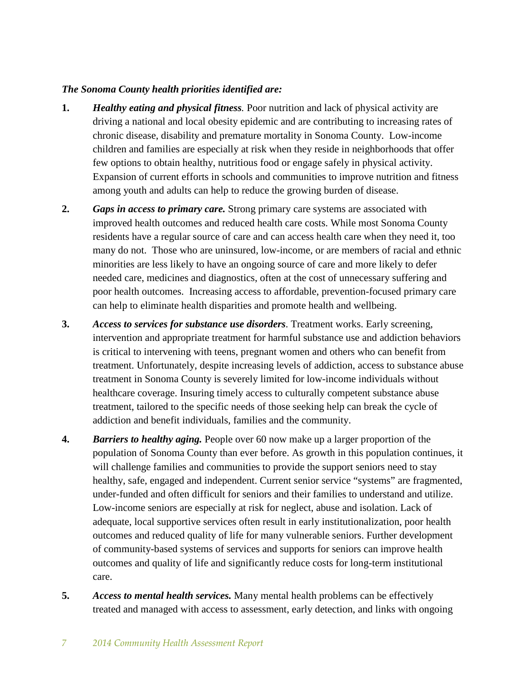#### *The Sonoma County health priorities identified are:*

- **1.** *Healthy eating and physical fitness.* Poor nutrition and lack of physical activity are driving a national and local obesity epidemic and are contributing to increasing rates of chronic disease, disability and premature mortality in Sonoma County. Low-income children and families are especially at risk when they reside in neighborhoods that offer few options to obtain healthy, nutritious food or engage safely in physical activity. Expansion of current efforts in schools and communities to improve nutrition and fitness among youth and adults can help to reduce the growing burden of disease.
- **2.** *Gaps in access to primary care.* Strong primary care systems are associated with improved health outcomes and reduced health care costs. While most Sonoma County residents have a regular source of care and can access health care when they need it, too many do not. Those who are uninsured, low-income, or are members of racial and ethnic minorities are less likely to have an ongoing source of care and more likely to defer needed care, medicines and diagnostics, often at the cost of unnecessary suffering and poor health outcomes. Increasing access to affordable, prevention-focused primary care can help to eliminate health disparities and promote health and wellbeing.
- **3.** *Access to services for substance use disorders*. Treatment works. Early screening, intervention and appropriate treatment for harmful substance use and addiction behaviors is critical to intervening with teens, pregnant women and others who can benefit from treatment. Unfortunately, despite increasing levels of addiction, access to substance abuse treatment in Sonoma County is severely limited for low-income individuals without healthcare coverage. Insuring timely access to culturally competent substance abuse treatment, tailored to the specific needs of those seeking help can break the cycle of addiction and benefit individuals, families and the community.
- **4.** *Barriers to healthy aging.* People over 60 now make up a larger proportion of the population of Sonoma County than ever before. As growth in this population continues, it will challenge families and communities to provide the support seniors need to stay healthy, safe, engaged and independent. Current senior service "systems" are fragmented, under-funded and often difficult for seniors and their families to understand and utilize. Low-income seniors are especially at risk for neglect, abuse and isolation. Lack of adequate, local supportive services often result in early institutionalization, poor health outcomes and reduced quality of life for many vulnerable seniors. Further development of community-based systems of services and supports for seniors can improve health outcomes and quality of life and significantly reduce costs for long-term institutional care.
- **5.** *Access to mental health services.* Many mental health problems can be effectively treated and managed with access to assessment, early detection, and links with ongoing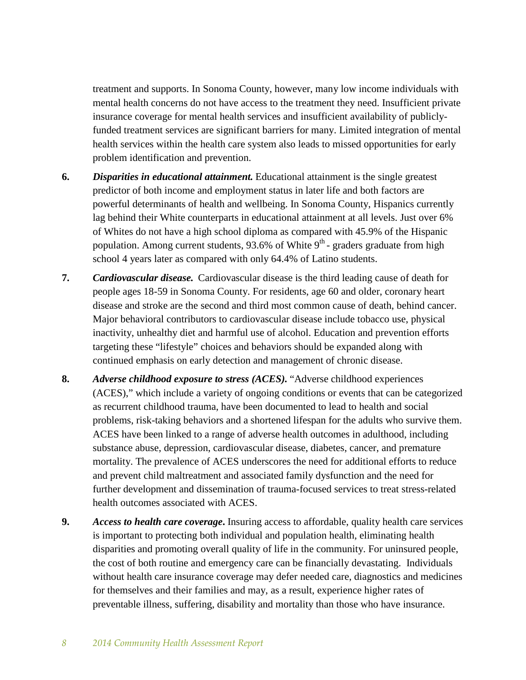treatment and supports. In Sonoma County, however, many low income individuals with mental health concerns do not have access to the treatment they need. Insufficient private insurance coverage for mental health services and insufficient availability of publiclyfunded treatment services are significant barriers for many. Limited integration of mental health services within the health care system also leads to missed opportunities for early problem identification and prevention.

- **6.** *Disparities in educational attainment.* Educational attainment is the single greatest predictor of both income and employment status in later life and both factors are powerful determinants of health and wellbeing. In Sonoma County, Hispanics currently lag behind their White counterparts in educational attainment at all levels. Just over 6% of Whites do not have a high school diploma as compared with 45.9% of the Hispanic population. Among current students, 93.6% of White  $9<sup>th</sup>$ -graders graduate from high school 4 years later as compared with only 64.4% of Latino students.
- **7.** *Cardiovascular disease.* Cardiovascular disease is the third leading cause of death for people ages 18-59 in Sonoma County. For residents, age 60 and older, coronary heart disease and stroke are the second and third most common cause of death, behind cancer. Major behavioral contributors to cardiovascular disease include tobacco use, physical inactivity, unhealthy diet and harmful use of alcohol. Education and prevention efforts targeting these "lifestyle" choices and behaviors should be expanded along with continued emphasis on early detection and management of chronic disease.
- **8.** *Adverse childhood exposure to stress (ACES).* "Adverse childhood experiences (ACES)," which include a variety of ongoing conditions or events that can be categorized as recurrent childhood trauma, have been documented to lead to health and social problems, risk-taking behaviors and a shortened lifespan for the adults who survive them. ACES have been linked to a range of adverse health outcomes in adulthood, including substance abuse, depression, cardiovascular disease, diabetes, cancer, and premature mortality. The prevalence of ACES underscores the need for additional efforts to reduce and prevent child maltreatment and associated family dysfunction and the need for further development and dissemination of trauma-focused services to treat stress-related health outcomes associated with ACES.
- **9.** *Access to health care coverage***.** Insuring access to affordable, quality health care services is important to protecting both individual and population health, eliminating health disparities and promoting overall quality of life in the community. For uninsured people, the cost of both routine and emergency care can be financially devastating. Individuals without health care insurance coverage may defer needed care, diagnostics and medicines for themselves and their families and may, as a result, experience higher rates of preventable illness, suffering, disability and mortality than those who have insurance.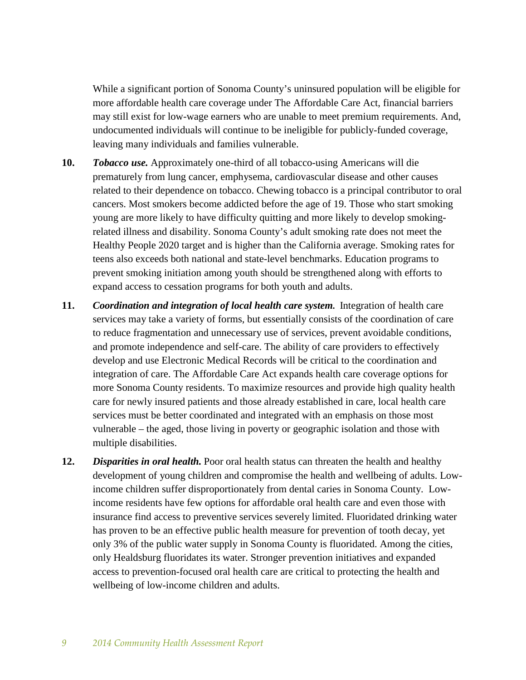While a significant portion of Sonoma County's uninsured population will be eligible for more affordable health care coverage under The Affordable Care Act, financial barriers may still exist for low-wage earners who are unable to meet premium requirements. And, undocumented individuals will continue to be ineligible for publicly-funded coverage, leaving many individuals and families vulnerable.

- **10.** *Tobacco use.* Approximately one-third of all tobacco-using Americans will die prematurely from lung cancer, emphysema, cardiovascular disease and other causes related to their dependence on tobacco. Chewing tobacco is a principal contributor to oral cancers. Most smokers become addicted before the age of 19. Those who start smoking young are more likely to have difficulty quitting and more likely to develop smokingrelated illness and disability. Sonoma County's adult smoking rate does not meet the Healthy People 2020 target and is higher than the California average. Smoking rates for teens also exceeds both national and state-level benchmarks. Education programs to prevent smoking initiation among youth should be strengthened along with efforts to expand access to cessation programs for both youth and adults.
- **11.** *Coordination and integration of local health care system.* Integration of health care services may take a variety of forms, but essentially consists of the coordination of care to reduce fragmentation and unnecessary use of services, prevent avoidable conditions, and promote independence and self-care. The ability of care providers to effectively develop and use Electronic Medical Records will be critical to the coordination and integration of care. The Affordable Care Act expands health care coverage options for more Sonoma County residents. To maximize resources and provide high quality health care for newly insured patients and those already established in care, local health care services must be better coordinated and integrated with an emphasis on those most vulnerable – the aged, those living in poverty or geographic isolation and those with multiple disabilities.
- **12.** *Disparities in oral health.* Poor oral health status can threaten the health and healthy development of young children and compromise the health and wellbeing of adults. Lowincome children suffer disproportionately from dental caries in Sonoma County. Lowincome residents have few options for affordable oral health care and even those with insurance find access to preventive services severely limited. Fluoridated drinking water has proven to be an effective public health measure for prevention of tooth decay, yet only 3% of the public water supply in Sonoma County is fluoridated. Among the cities, only Healdsburg fluoridates its water. Stronger prevention initiatives and expanded access to prevention-focused oral health care are critical to protecting the health and wellbeing of low-income children and adults.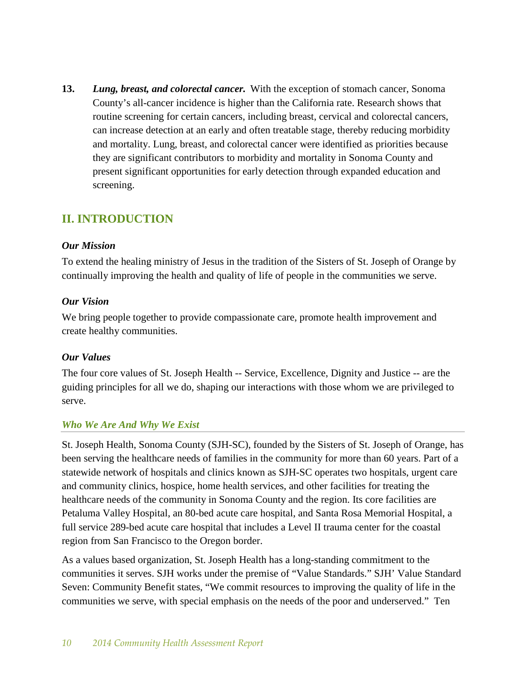**13.** *Lung, breast, and colorectal cancer.* With the exception of stomach cancer, Sonoma County's all-cancer incidence is higher than the California rate. Research shows that routine [screening](http://www.cdc.gov/cancer/dcpc/prevention/screening.htm) for certain cancers, including breast, cervical and colorectal cancers, can increase detection at an early and often treatable stage, thereby reducing morbidity and mortality. Lung, breast, and colorectal cancer were identified as priorities because they are significant contributors to morbidity and mortality in Sonoma County and present significant opportunities for early detection through expanded education and screening.

# **II. INTRODUCTION**

#### *Our Mission*

To extend the healing ministry of Jesus in the tradition of the Sisters of St. Joseph of Orange by continually improving the health and quality of life of people in the communities we serve.

#### *Our Vision*

We bring people together to provide compassionate care, promote health improvement and create healthy communities.

## *Our Values*

The four core values of St. Joseph Health -- Service, Excellence, Dignity and Justice -- are the guiding principles for all we do, shaping our interactions with those whom we are privileged to serve.

## *Who We Are And Why We Exist*

St. Joseph Health, Sonoma County (SJH-SC), founded by the Sisters of St. Joseph of Orange, has been serving the healthcare needs of families in the community for more than 60 years. Part of a statewide network of hospitals and clinics known as SJH-SC operates two hospitals, urgent care and community clinics, hospice, home health services, and other facilities for treating the healthcare needs of the community in Sonoma County and the region. Its core facilities are Petaluma Valley Hospital, an 80-bed acute care hospital, and Santa Rosa Memorial Hospital, a full service 289-bed acute care hospital that includes a Level II trauma center for the coastal region from San Francisco to the Oregon border.

As a values based organization, St. Joseph Health has a long-standing commitment to the communities it serves. SJH works under the premise of "Value Standards." SJH' Value Standard Seven: Community Benefit states, "We commit resources to improving the quality of life in the communities we serve, with special emphasis on the needs of the poor and underserved." Ten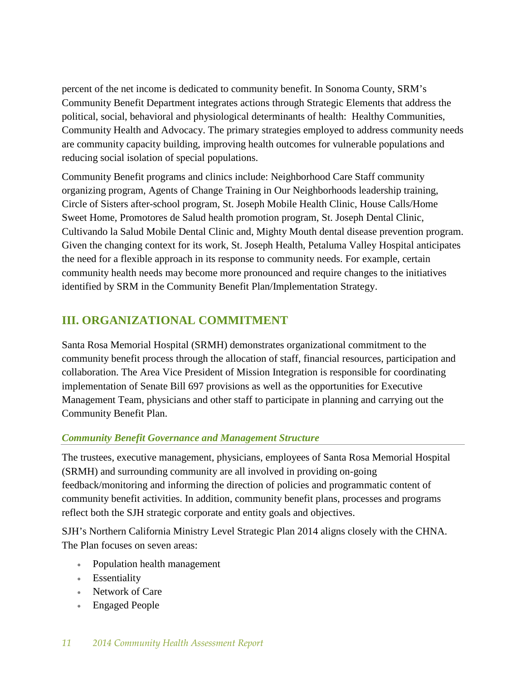percent of the net income is dedicated to community benefit. In Sonoma County, SRM's Community Benefit Department integrates actions through Strategic Elements that address the political, social, behavioral and physiological determinants of health: Healthy Communities, Community Health and Advocacy. The primary strategies employed to address community needs are community capacity building, improving health outcomes for vulnerable populations and reducing social isolation of special populations.

Community Benefit programs and clinics include: Neighborhood Care Staff community organizing program, Agents of Change Training in Our Neighborhoods leadership training, Circle of Sisters after-school program, St. Joseph Mobile Health Clinic, House Calls/Home Sweet Home, Promotores de Salud health promotion program, St. Joseph Dental Clinic, Cultivando la Salud Mobile Dental Clinic and, Mighty Mouth dental disease prevention program. Given the changing context for its work, St. Joseph Health, Petaluma Valley Hospital anticipates the need for a flexible approach in its response to community needs. For example, certain community health needs may become more pronounced and require changes to the initiatives identified by SRM in the Community Benefit Plan/Implementation Strategy.

# **III. ORGANIZATIONAL COMMITMENT**

Santa Rosa Memorial Hospital (SRMH) demonstrates organizational commitment to the community benefit process through the allocation of staff, financial resources, participation and collaboration. The Area Vice President of Mission Integration is responsible for coordinating implementation of Senate Bill 697 provisions as well as the opportunities for Executive Management Team, physicians and other staff to participate in planning and carrying out the Community Benefit Plan.

# *Community Benefit Governance and Management Structure*

The trustees, executive management, physicians, employees of Santa Rosa Memorial Hospital (SRMH) and surrounding community are all involved in providing on-going feedback/monitoring and informing the direction of policies and programmatic content of community benefit activities. In addition, community benefit plans, processes and programs reflect both the SJH strategic corporate and entity goals and objectives.

SJH's Northern California Ministry Level Strategic Plan 2014 aligns closely with the CHNA. The Plan focuses on seven areas:

- Population health management
- Essentiality
- Network of Care
- Engaged People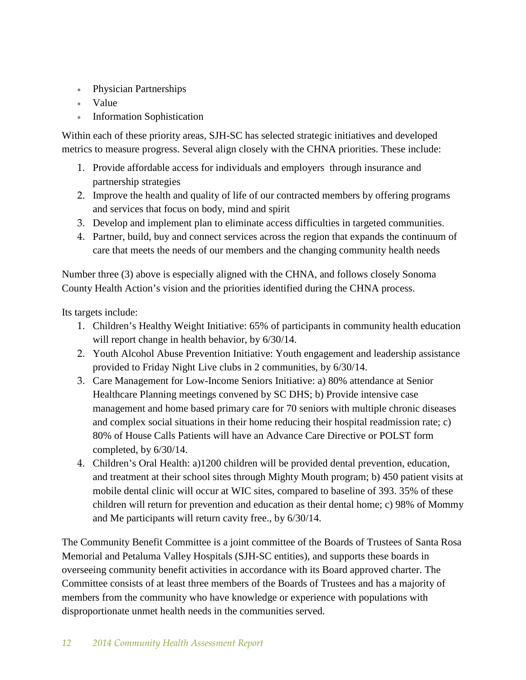- Physician Partnerships
- Value
- Information Sophistication

Within each of these priority areas, SJH-SC has selected strategic initiatives and developed metrics to measure progress. Several align closely with the CHNA priorities. These include:

- 1. Provide affordable access for individuals and employers through insurance and partnership strategies
- 2. Improve the health and quality of life of our contracted members by offering programs and services that focus on body, mind and spirit
- 3. Develop and implement plan to eliminate access difficulties in targeted communities.
- 4. Partner, build, buy and connect services across the region that expands the continuum of care that meets the needs of our members and the changing community health needs

Number three (3) above is especially aligned with the CHNA, and follows closely Sonoma County Health Action's vision and the priorities identified during the CHNA process.

Its targets include:

- 1. Children's Healthy Weight Initiative: 65% of participants in community health education will report change in health behavior, by  $6/30/14$ .
- 2. Youth Alcohol Abuse Prevention Initiative: Youth engagement and leadership assistance provided to Friday Night Live clubs in 2 communities, by 6/30/14.
- 3. Care Management for Low-Income Seniors Initiative: a) 80% attendance at Senior Healthcare Planning meetings convened by SC DHS; b) Provide intensive case management and home based primary care for 70 seniors with multiple chronic diseases and complex social situations in their home reducing their hospital readmission rate; c) 80% of House Calls Patients will have an Advance Care Directive or POLST form completed, by 6/30/14.
- 4. Children's Oral Health: a)1200 children will be provided dental prevention, education, and treatment at their school sites through Mighty Mouth program; b) 450 patient visits at mobile dental clinic will occur at WIC sites, compared to baseline of 393. 35% of these children will return for prevention and education as their dental home; c) 98% of Mommy and Me participants will return cavity free., by 6/30/14.

The Community Benefit Committee is a joint committee of the Boards of Trustees of Santa Rosa Memorial and Petaluma Valley Hospitals (SJH-SC entities), and supports these boards in overseeing community benefit activities in accordance with its Board approved charter. The Committee consists of at least three members of the Boards of Trustees and has a majority of members from the community who have knowledge or experience with populations with disproportionate unmet health needs in the communities served.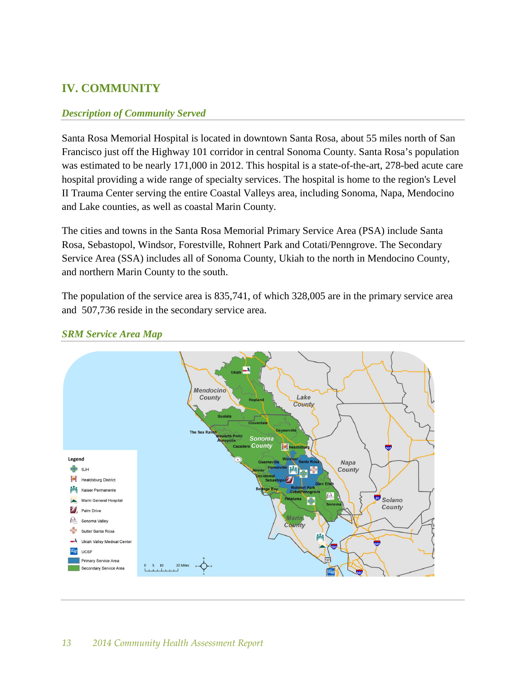# **IV. COMMUNITY**

### *Description of Community Served*

Santa Rosa Memorial Hospital is located in downtown Santa Rosa, about 55 miles north of San Francisco just off the Highway 101 corridor in central Sonoma County. Santa Rosa's population was estimated to be nearly 171,000 in 2012. This hospital is a state-of-the-art, 278-bed acute care hospital providing a wide range of specialty services. The hospital is home to the region's Level II Trauma Center serving the entire Coastal Valleys area, including Sonoma, Napa, Mendocino and Lake counties, as well as coastal Marin County.

The cities and towns in the Santa Rosa Memorial Primary Service Area (PSA) include Santa Rosa, Sebastopol, Windsor, Forestville, Rohnert Park and Cotati/Penngrove. The Secondary Service Area (SSA) includes all of Sonoma County, Ukiah to the north in Mendocino County, and northern Marin County to the south.

The population of the service area is 835,741, of which 328,005 are in the primary service area and 507,736 reside in the secondary service area.



#### *SRM Service Area Map*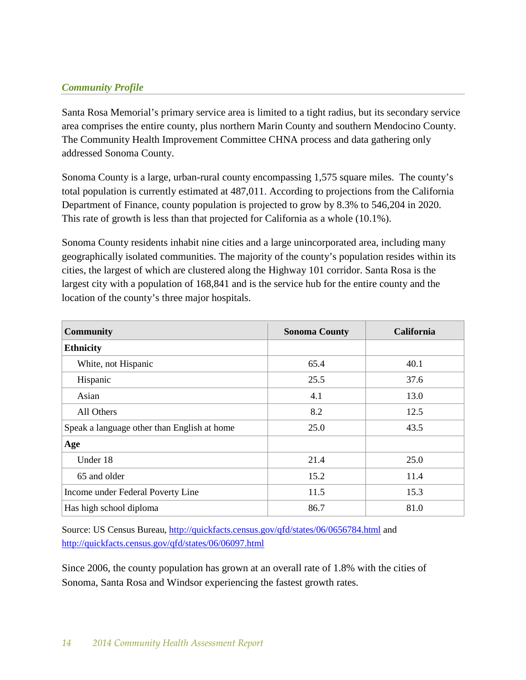## *Community Profile*

Santa Rosa Memorial's primary service area is limited to a tight radius, but its secondary service area comprises the entire county, plus northern Marin County and southern Mendocino County. The Community Health Improvement Committee CHNA process and data gathering only addressed Sonoma County.

Sonoma County is a large, urban-rural county encompassing 1,575 square miles. The county's total population is currently estimated at 487,011. According to projections from the California Department of Finance, county population is projected to grow by 8.3% to 546,204 in 2020. This rate of growth is less than that projected for California as a whole (10.1%).

Sonoma County residents inhabit nine cities and a large unincorporated area, including many geographically isolated communities. The majority of the county's population resides within its cities, the largest of which are clustered along the Highway 101 corridor. Santa Rosa is the largest city with a population of 168,841 and is the service hub for the entire county and the location of the county's three major hospitals.

| <b>Community</b>                            | <b>Sonoma County</b> | <b>California</b> |
|---------------------------------------------|----------------------|-------------------|
| <b>Ethnicity</b>                            |                      |                   |
| White, not Hispanic                         | 65.4                 | 40.1              |
| Hispanic                                    | 25.5                 | 37.6              |
| Asian                                       | 4.1                  | 13.0              |
| All Others                                  | 8.2                  | 12.5              |
| Speak a language other than English at home | 25.0                 | 43.5              |
| Age                                         |                      |                   |
| Under 18                                    | 21.4                 | 25.0              |
| 65 and older                                | 15.2                 | 11.4              |
| Income under Federal Poverty Line           | 11.5                 | 15.3              |
| Has high school diploma                     | 86.7                 | 81.0              |

Source: US Census Bureau,<http://quickfacts.census.gov/qfd/states/06/0656784.html> and <http://quickfacts.census.gov/qfd/states/06/06097.html>

Since 2006, the county population has grown at an overall rate of 1.8% with the cities of Sonoma, Santa Rosa and Windsor experiencing the fastest growth rates.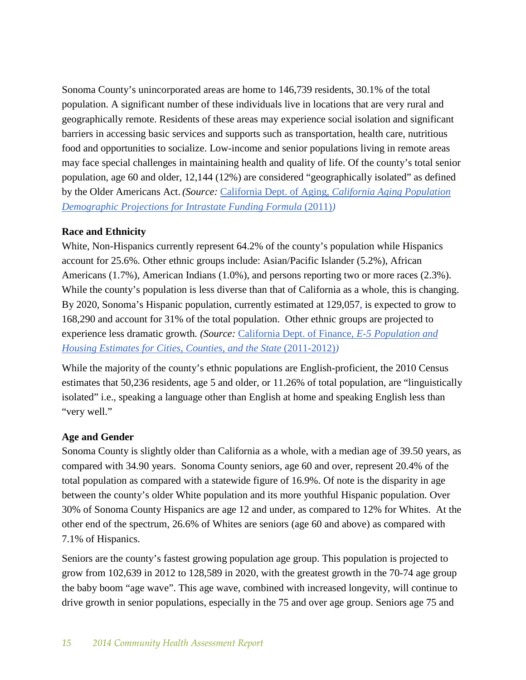Sonoma County's unincorporated areas are home to 146,739 residents, 30.1% of the total population. A significant number of these individuals live in locations that are very rural and geographically remote. Residents of these areas may experience social isolation and significant barriers in accessing basic services and supports such as transportation, health care, nutritious food and opportunities to socialize. Low-income and senior populations living in remote areas may face special challenges in maintaining health and quality of life. Of the county's total senior population, age 60 and older, 12,144 (12%) are considered "geographically isolated" as defined by the Older Americans Act. *(Source:* California Dept. of Aging, *[California Aging Population](http://www.aging.ca.gov/Data_and_Statistics/%23IFF)  Demographic Projections for Intrastate Funding Formula* (2011)

## **Race and Ethnicity**

White, Non-Hispanics currently represent 64.2% of the county's population while Hispanics account for 25.6%. Other ethnic groups include: Asian/Pacific Islander (5.2%), African Americans (1.7%), American Indians (1.0%), and persons reporting two or more races (2.3%). While the county's population is less diverse than that of California as a whole, this is changing. By 2020, Sonoma's Hispanic population, currently estimated at 129,057, is expected to grow to 168,290 and account for 31% of the total population. Other ethnic groups are projected to experience less dramatic growth*. (Source:* [California Dept. of Finance,](http://www.dof.ca.gov/research/demographic/reports/estimates/e-5/2011-20/view.php) *E-5 Population and [Housing Estimates for Cities, Counties, and the State](http://www.dof.ca.gov/research/demographic/reports/estimates/e-5/2011-20/view.php) (2011-2012)* 

While the majority of the county's ethnic populations are English-proficient, the 2010 Census estimates that 50,236 residents, age 5 and older, or 11.26% of total population, are "linguistically isolated" i.e., speaking a language other than English at home and speaking English less than "very well."

## **Age and Gender**

Sonoma County is slightly older than California as a whole, with a median age of 39.50 years, as compared with 34.90 years. Sonoma County seniors, age 60 and over, represent 20.4% of the total population as compared with a statewide figure of 16.9%. Of note is the disparity in age between the county's older White population and its more youthful Hispanic population. Over 30% of Sonoma County Hispanics are age 12 and under, as compared to 12% for Whites. At the other end of the spectrum, 26.6% of Whites are seniors (age 60 and above) as compared with 7.1% of Hispanics.

Seniors are the county's fastest growing population age group. This population is projected to grow from 102,639 in 2012 to 128,589 in 2020, with the greatest growth in the 70-74 age group the baby boom "age wave". This age wave, combined with increased longevity, will continue to drive growth in senior populations, especially in the 75 and over age group. Seniors age 75 and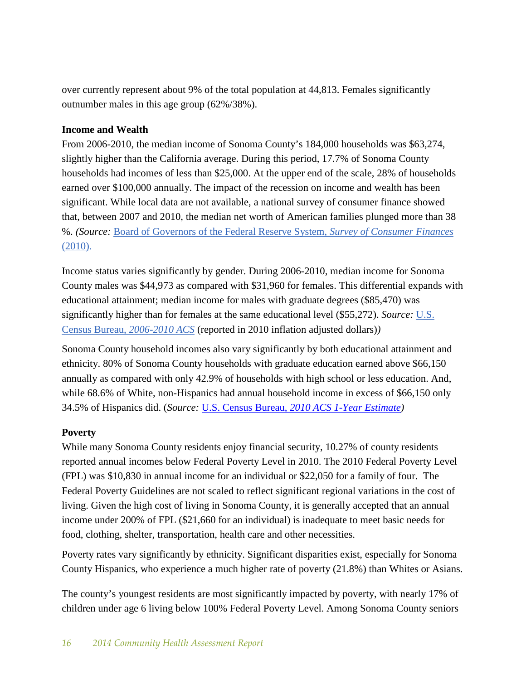over currently represent about 9% of the total population at 44,813. Females significantly outnumber males in this age group (62%/38%).

### **Income and Wealth**

From 2006-2010, the median income of Sonoma County's 184,000 households was \$63,274, slightly higher than the California average. During this period, 17.7% of Sonoma County households had incomes of less than \$25,000. At the upper end of the scale, 28% of households earned over \$100,000 annually. The impact of the recession on income and wealth has been significant. While local data are not available, a national survey of consumer finance showed that, between 2007 and 2010, the median net worth of American families plunged more than 38 %. *(Source:* [Board of Governors of the Federal Reserve System,](http://www.federalreserve.gov/econresdata/scf/scf_2010.htm) *Survey of Consumer Finances*  [\(2010\).](http://www.federalreserve.gov/econresdata/scf/scf_2010.htm)

Income status varies significantly by gender. During 2006-2010, median income for Sonoma County males was \$44,973 as compared with \$31,960 for females. This differential expands with educational attainment; median income for males with graduate degrees (\$85,470) was significantly higher than for females at the same educational level (\$55,272). *Source:* [U.S.](http://www.census.gov/acs/www/data_documentation/2010_release/)  Census Bureau, *[2006-2010 ACS](http://www.census.gov/acs/www/data_documentation/2010_release/)* (reported in 2010 inflation adjusted dollars)*)* 

Sonoma County household incomes also vary significantly by both educational attainment and ethnicity. 80% of Sonoma County households with graduate education earned above \$66,150 annually as compared with only 42.9% of households with high school or less education. And, while 68.6% of White, non-Hispanics had annual household income in excess of \$66,150 only 34.5% of Hispanics did. (*Source:* U.S. Census Bureau, *[2010 ACS 1-Year Estimate\)](http://factfinder2.census.gov/faces/nav/jsf/pages/searchresults.xhtml?refresh=t)*

## **Poverty**

While many Sonoma County residents enjoy financial security, 10.27% of county residents reported annual incomes below Federal Poverty Level in 2010. The 2010 Federal Poverty Level (FPL) was \$10,830 in annual income for an individual or \$22,050 for a family of four. The Federal Poverty Guidelines are not scaled to reflect significant regional variations in the cost of living. Given the high cost of living in Sonoma County, it is generally accepted that an annual income under 200% of FPL (\$21,660 for an individual) is inadequate to meet basic needs for food, clothing, shelter, transportation, health care and other necessities.

Poverty rates vary significantly by ethnicity. Significant disparities exist, especially for Sonoma County Hispanics, who experience a much higher rate of poverty (21.8%) than Whites or Asians.

The county's youngest residents are most significantly impacted by poverty, with nearly 17% of children under age 6 living below 100% Federal Poverty Level. Among Sonoma County seniors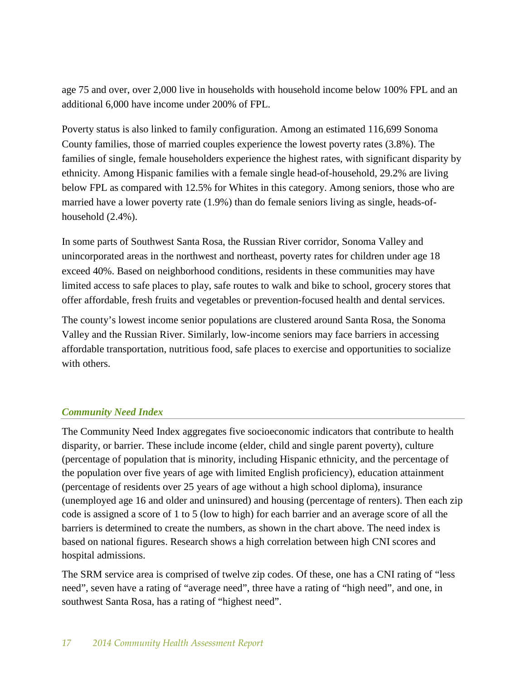age 75 and over, over 2,000 live in households with household income below 100% FPL and an additional 6,000 have income under 200% of FPL.

Poverty status is also linked to family configuration. Among an estimated 116,699 Sonoma County families, those of married couples experience the lowest poverty rates (3.8%). The families of single, female householders experience the highest rates, with significant disparity by ethnicity. Among Hispanic families with a female single head-of-household, 29.2% are living below FPL as compared with 12.5% for Whites in this category. Among seniors, those who are married have a lower poverty rate (1.9%) than do female seniors living as single, heads-ofhousehold  $(2.4\%)$ .

In some parts of Southwest Santa Rosa, the Russian River corridor, Sonoma Valley and unincorporated areas in the northwest and northeast, poverty rates for children under age 18 exceed 40%. Based on neighborhood conditions, residents in these communities may have limited access to safe places to play, safe routes to walk and bike to school, grocery stores that offer affordable, fresh fruits and vegetables or prevention-focused health and dental services.

The county's lowest income senior populations are clustered around Santa Rosa, the Sonoma Valley and the Russian River. Similarly, low-income seniors may face barriers in accessing affordable transportation, nutritious food, safe places to exercise and opportunities to socialize with others.

## *Community Need Index*

The Community Need Index aggregates five socioeconomic indicators that contribute to health disparity, or barrier. These include income (elder, child and single parent poverty), culture (percentage of population that is minority, including Hispanic ethnicity, and the percentage of the population over five years of age with limited English proficiency), education attainment (percentage of residents over 25 years of age without a high school diploma), insurance (unemployed age 16 and older and uninsured) and housing (percentage of renters). Then each zip code is assigned a score of 1 to 5 (low to high) for each barrier and an average score of all the barriers is determined to create the numbers, as shown in the chart above. The need index is based on national figures. Research shows a high correlation between high CNI scores and hospital admissions.

The SRM service area is comprised of twelve zip codes. Of these, one has a CNI rating of "less need", seven have a rating of "average need", three have a rating of "high need", and one, in southwest Santa Rosa, has a rating of "highest need".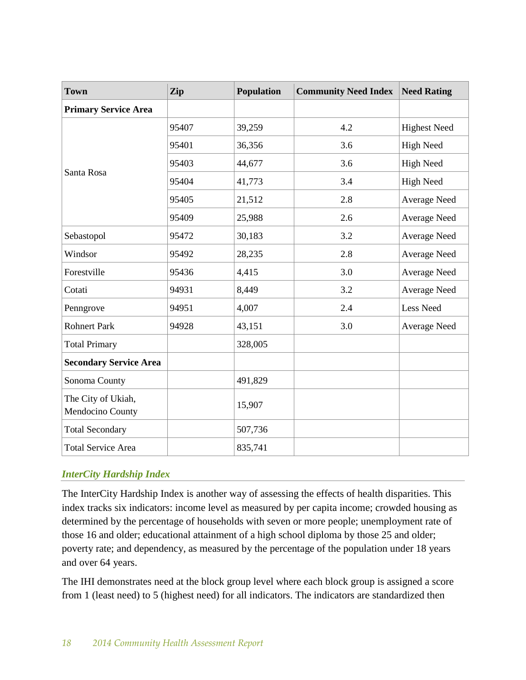| <b>Town</b>                            | Zip   | <b>Population</b> | <b>Community Need Index</b> | <b>Need Rating</b>  |
|----------------------------------------|-------|-------------------|-----------------------------|---------------------|
| <b>Primary Service Area</b>            |       |                   |                             |                     |
|                                        | 95407 | 39,259            | 4.2                         | <b>Highest Need</b> |
|                                        | 95401 | 36,356            | 3.6                         | <b>High Need</b>    |
|                                        | 95403 | 44,677            | 3.6                         | <b>High Need</b>    |
| Santa Rosa                             | 95404 | 41,773            | 3.4                         | <b>High Need</b>    |
|                                        | 95405 | 21,512            | 2.8                         | <b>Average Need</b> |
|                                        | 95409 | 25,988            | 2.6                         | <b>Average Need</b> |
| Sebastopol                             | 95472 | 30,183            | 3.2                         | <b>Average Need</b> |
| Windsor                                | 95492 | 28,235            | 2.8                         | <b>Average Need</b> |
| Forestville                            | 95436 | 4,415             | 3.0                         | <b>Average Need</b> |
| Cotati                                 | 94931 | 8,449             | 3.2                         | <b>Average Need</b> |
| Penngrove                              | 94951 | 4,007             | 2.4                         | <b>Less Need</b>    |
| <b>Rohnert Park</b>                    | 94928 | 43,151            | 3.0                         | <b>Average Need</b> |
| <b>Total Primary</b>                   |       | 328,005           |                             |                     |
| <b>Secondary Service Area</b>          |       |                   |                             |                     |
| Sonoma County                          |       | 491,829           |                             |                     |
| The City of Ukiah,<br>Mendocino County |       | 15,907            |                             |                     |
| <b>Total Secondary</b>                 |       | 507,736           |                             |                     |
| <b>Total Service Area</b>              |       | 835,741           |                             |                     |

## *InterCity Hardship Index*

The InterCity Hardship Index is another way of assessing the effects of health disparities. This index tracks six indicators: income level as measured by per capita income; crowded housing as determined by the percentage of households with seven or more people; unemployment rate of those 16 and older; educational attainment of a high school diploma by those 25 and older; poverty rate; and dependency, as measured by the percentage of the population under 18 years and over 64 years.

The IHI demonstrates need at the block group level where each block group is assigned a score from 1 (least need) to 5 (highest need) for all indicators. The indicators are standardized then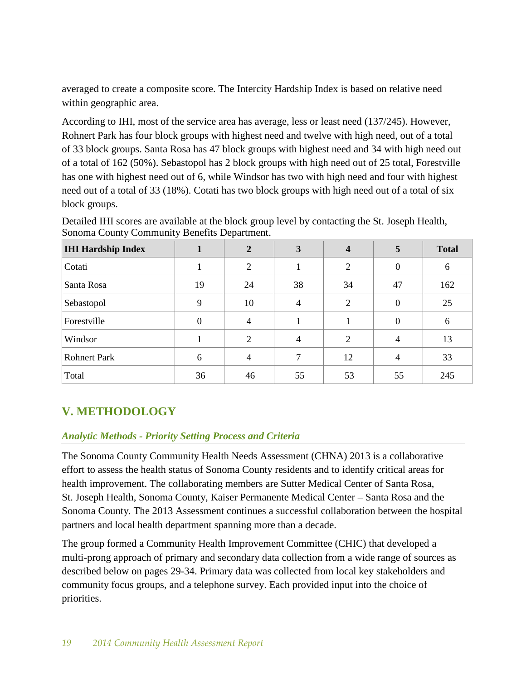averaged to create a composite score. The Intercity Hardship Index is based on relative need within geographic area.

According to IHI, most of the service area has average, less or least need (137/245). However, Rohnert Park has four block groups with highest need and twelve with high need, out of a total of 33 block groups. Santa Rosa has 47 block groups with highest need and 34 with high need out of a total of 162 (50%). Sebastopol has 2 block groups with high need out of 25 total, Forestville has one with highest need out of 6, while Windsor has two with high need and four with highest need out of a total of 33 (18%). Cotati has two block groups with high need out of a total of six block groups.

| <b>IHI Hardship Index</b> |          | $\overline{2}$ | 3  | 4              | 5              | <b>Total</b> |
|---------------------------|----------|----------------|----|----------------|----------------|--------------|
| Cotati                    |          | $\overline{2}$ |    | $\overline{2}$ | $\Omega$       | 6            |
| Santa Rosa                | 19       | 24             | 38 | 34             | 47             | 162          |
| Sebastopol                | 9        | 10             | 4  | 2              | $\Omega$       | 25           |
| Forestville               | $\theta$ | 4              |    |                | $\Omega$       | 6            |
| Windsor                   |          | 2              | 4  | $\overline{2}$ | $\overline{4}$ | 13           |
| <b>Rohnert Park</b>       | 6        | 4              | 7  | 12             | $\overline{4}$ | 33           |
| Total                     | 36       | 46             | 55 | 53             | 55             | 245          |

Detailed IHI scores are available at the block group level by contacting the St. Joseph Health, Sonoma County Community Benefits Department.

# **V. METHODOLOGY**

## *Analytic Methods - Priority Setting Process and Criteria*

The Sonoma County Community Health Needs Assessment (CHNA) 2013 is a collaborative effort to assess the health status of Sonoma County residents and to identify critical areas for health improvement. The collaborating members are Sutter Medical Center of Santa Rosa, St. Joseph Health, Sonoma County, Kaiser Permanente Medical Center – Santa Rosa and the Sonoma County. The 2013 Assessment continues a successful collaboration between the hospital partners and local health department spanning more than a decade.

The group formed a Community Health Improvement Committee (CHIC) that developed a multi-prong approach of primary and secondary data collection from a wide range of sources as described below on pages 29-34. Primary data was collected from local key stakeholders and community focus groups, and a telephone survey. Each provided input into the choice of priorities.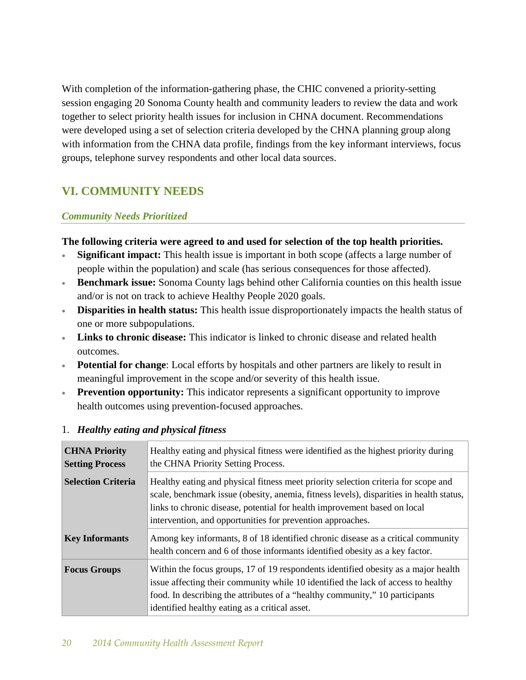With completion of the information-gathering phase, the CHIC convened a priority-setting session engaging 20 Sonoma County health and community leaders to review the data and work together to select priority health issues for inclusion in CHNA document. Recommendations were developed using a set of selection criteria developed by the CHNA planning group along with information from the CHNA data profile, findings from the key informant interviews, focus groups, telephone survey respondents and other local data sources.

# **VI. COMMUNITY NEEDS**

#### *Community Needs Prioritized*

#### **The following criteria were agreed to and used for selection of the top health priorities.**

- **Significant impact:** This health issue is important in both scope (affects a large number of people within the population) and scale (has serious consequences for those affected).
- **Benchmark issue:** Sonoma County lags behind other California counties on this health issue and/or is not on track to achieve Healthy People 2020 goals.
- **Disparities in health status:** This health issue disproportionately impacts the health status of one or more subpopulations.
- **Links to chronic disease:** This indicator is linked to chronic disease and related health outcomes.
- **Potential for change**: Local efforts by hospitals and other partners are likely to result in meaningful improvement in the scope and/or severity of this health issue.
- **Prevention opportunity:** This indicator represents a significant opportunity to improve health outcomes using prevention-focused approaches.

| <b>CHNA Priority</b><br><b>Setting Process</b> | Healthy eating and physical fitness were identified as the highest priority during<br>the CHNA Priority Setting Process.                                                                                                                                                                                                 |
|------------------------------------------------|--------------------------------------------------------------------------------------------------------------------------------------------------------------------------------------------------------------------------------------------------------------------------------------------------------------------------|
| <b>Selection Criteria</b>                      | Healthy eating and physical fitness meet priority selection criteria for scope and<br>scale, benchmark issue (obesity, anemia, fitness levels), disparities in health status,<br>links to chronic disease, potential for health improvement based on local<br>intervention, and opportunities for prevention approaches. |
| <b>Key Informants</b>                          | Among key informants, 8 of 18 identified chronic disease as a critical community<br>health concern and 6 of those informants identified obesity as a key factor.                                                                                                                                                         |
| <b>Focus Groups</b>                            | Within the focus groups, 17 of 19 respondents identified obesity as a major health<br>issue affecting their community while 10 identified the lack of access to healthy<br>food. In describing the attributes of a "healthy community," 10 participants<br>identified healthy eating as a critical asset.                |

#### 1. *Healthy eating and physical fitness*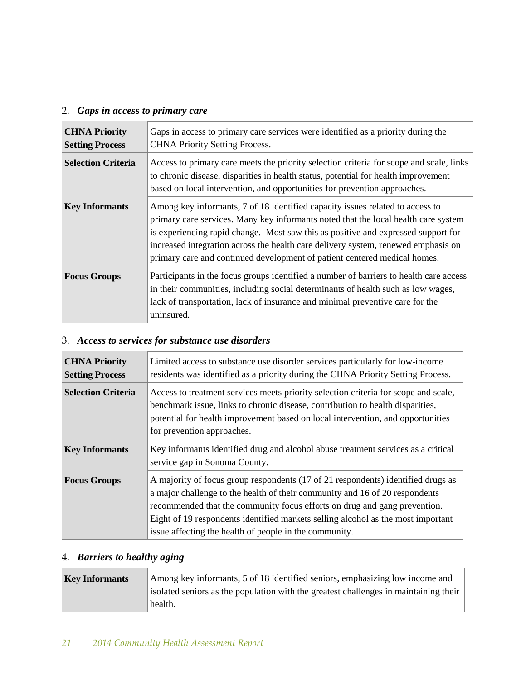# 2. *Gaps in access to primary care*

| <b>CHNA Priority</b><br><b>Setting Process</b> | Gaps in access to primary care services were identified as a priority during the<br><b>CHNA Priority Setting Process.</b>                                                                                                                                                                                                                                                                                                  |
|------------------------------------------------|----------------------------------------------------------------------------------------------------------------------------------------------------------------------------------------------------------------------------------------------------------------------------------------------------------------------------------------------------------------------------------------------------------------------------|
| <b>Selection Criteria</b>                      | Access to primary care meets the priority selection criteria for scope and scale, links<br>to chronic disease, disparities in health status, potential for health improvement<br>based on local intervention, and opportunities for prevention approaches.                                                                                                                                                                 |
| <b>Key Informants</b>                          | Among key informants, 7 of 18 identified capacity issues related to access to<br>primary care services. Many key informants noted that the local health care system<br>is experiencing rapid change. Most saw this as positive and expressed support for<br>increased integration across the health care delivery system, renewed emphasis on<br>primary care and continued development of patient centered medical homes. |
| <b>Focus Groups</b>                            | Participants in the focus groups identified a number of barriers to health care access<br>in their communities, including social determinants of health such as low wages,<br>lack of transportation, lack of insurance and minimal preventive care for the<br>uninsured.                                                                                                                                                  |

# 3. *Access to services for substance use disorders*

| <b>CHNA Priority</b>      | Limited access to substance use disorder services particularly for low-income                                                                                                                                                                                                                                                                                                              |
|---------------------------|--------------------------------------------------------------------------------------------------------------------------------------------------------------------------------------------------------------------------------------------------------------------------------------------------------------------------------------------------------------------------------------------|
| <b>Setting Process</b>    | residents was identified as a priority during the CHNA Priority Setting Process.                                                                                                                                                                                                                                                                                                           |
| <b>Selection Criteria</b> | Access to treatment services meets priority selection criteria for scope and scale,<br>benchmark issue, links to chronic disease, contribution to health disparities,<br>potential for health improvement based on local intervention, and opportunities<br>for prevention approaches.                                                                                                     |
| <b>Key Informants</b>     | Key informants identified drug and alcohol abuse treatment services as a critical<br>service gap in Sonoma County.                                                                                                                                                                                                                                                                         |
| <b>Focus Groups</b>       | A majority of focus group respondents (17 of 21 respondents) identified drugs as<br>a major challenge to the health of their community and 16 of 20 respondents<br>recommended that the community focus efforts on drug and gang prevention.<br>Eight of 19 respondents identified markets selling alcohol as the most important<br>issue affecting the health of people in the community. |

## 4. *Barriers to healthy aging*

| <b>Key Informants</b> | Among key informants, 5 of 18 identified seniors, emphasizing low income and         |
|-----------------------|--------------------------------------------------------------------------------------|
|                       | isolated seniors as the population with the greatest challenges in maintaining their |
|                       | health.                                                                              |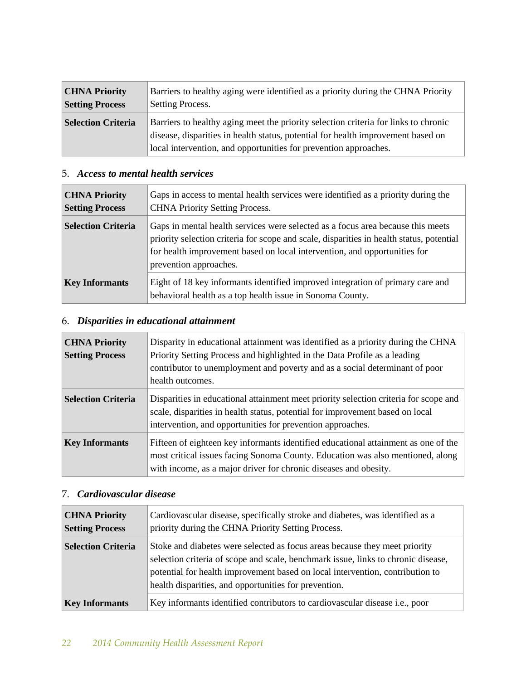| <b>CHNA Priority</b>      | Barriers to healthy aging were identified as a priority during the CHNA Priority                                                                                                                                                            |
|---------------------------|---------------------------------------------------------------------------------------------------------------------------------------------------------------------------------------------------------------------------------------------|
| <b>Setting Process</b>    | Setting Process.                                                                                                                                                                                                                            |
| <b>Selection Criteria</b> | Barriers to healthy aging meet the priority selection criteria for links to chronic<br>disease, disparities in health status, potential for health improvement based on<br>local intervention, and opportunities for prevention approaches. |

# 5. *Access to mental health services*

| <b>CHNA Priority</b><br><b>Setting Process</b> | Gaps in access to mental health services were identified as a priority during the<br><b>CHNA Priority Setting Process.</b>                                                                                                                                                         |
|------------------------------------------------|------------------------------------------------------------------------------------------------------------------------------------------------------------------------------------------------------------------------------------------------------------------------------------|
| <b>Selection Criteria</b>                      | Gaps in mental health services were selected as a focus area because this meets<br>priority selection criteria for scope and scale, disparities in health status, potential<br>for health improvement based on local intervention, and opportunities for<br>prevention approaches. |
| <b>Key Informants</b>                          | Eight of 18 key informants identified improved integration of primary care and<br>behavioral health as a top health issue in Sonoma County.                                                                                                                                        |

# 6. *Disparities in educational attainment*

| <b>CHNA Priority</b><br><b>Setting Process</b> | Disparity in educational attainment was identified as a priority during the CHNA<br>Priority Setting Process and highlighted in the Data Profile as a leading<br>contributor to unemployment and poverty and as a social determinant of poor<br>health outcomes. |
|------------------------------------------------|------------------------------------------------------------------------------------------------------------------------------------------------------------------------------------------------------------------------------------------------------------------|
| <b>Selection Criteria</b>                      | Disparities in educational attainment meet priority selection criteria for scope and<br>scale, disparities in health status, potential for improvement based on local<br>intervention, and opportunities for prevention approaches.                              |
| <b>Key Informants</b>                          | Fifteen of eighteen key informants identified educational attainment as one of the<br>most critical issues facing Sonoma County. Education was also mentioned, along<br>with income, as a major driver for chronic diseases and obesity.                         |

# 7. *Cardiovascular disease*

| <b>CHNA Priority</b><br><b>Setting Process</b> | Cardiovascular disease, specifically stroke and diabetes, was identified as a<br>priority during the CHNA Priority Setting Process.                                                                                                                                                                       |  |
|------------------------------------------------|-----------------------------------------------------------------------------------------------------------------------------------------------------------------------------------------------------------------------------------------------------------------------------------------------------------|--|
| <b>Selection Criteria</b>                      | Stoke and diabetes were selected as focus areas because they meet priority<br>selection criteria of scope and scale, benchmark issue, links to chronic disease,<br>potential for health improvement based on local intervention, contribution to<br>health disparities, and opportunities for prevention. |  |
| <b>Key Informants</b>                          | Key informants identified contributors to cardiovascular disease <i>i.e.</i> , poor                                                                                                                                                                                                                       |  |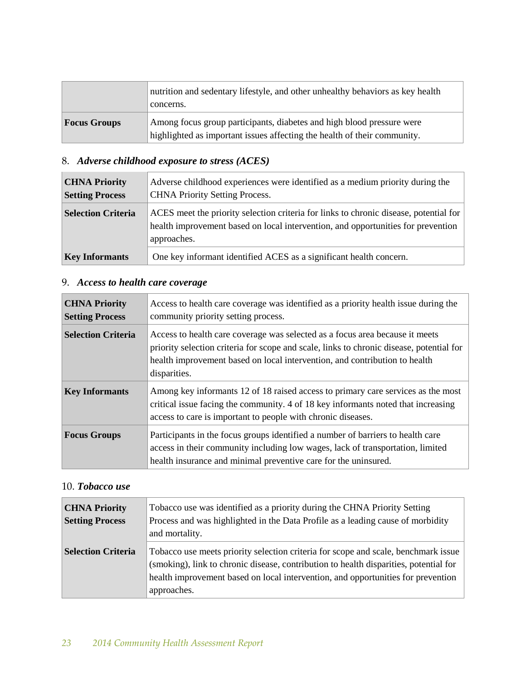|                     | nutrition and sedentary lifestyle, and other unhealthy behaviors as key health<br>concerns.                                                       |  |
|---------------------|---------------------------------------------------------------------------------------------------------------------------------------------------|--|
| <b>Focus Groups</b> | Among focus group participants, diabetes and high blood pressure were<br>highlighted as important issues affecting the health of their community. |  |

# 8. *Adverse childhood exposure to stress (ACES)*

| <b>CHNA Priority</b><br><b>Setting Process</b> | Adverse childhood experiences were identified as a medium priority during the<br><b>CHNA Priority Setting Process.</b><br>ACES meet the priority selection criteria for links to chronic disease, potential for<br>health improvement based on local intervention, and opportunities for prevention<br>approaches. |  |
|------------------------------------------------|--------------------------------------------------------------------------------------------------------------------------------------------------------------------------------------------------------------------------------------------------------------------------------------------------------------------|--|
| <b>Selection Criteria</b>                      |                                                                                                                                                                                                                                                                                                                    |  |
| <b>Key Informants</b>                          | One key informant identified ACES as a significant health concern.                                                                                                                                                                                                                                                 |  |

# 9. *Access to health care coverage*

| <b>CHNA Priority</b><br><b>Setting Process</b> | Access to health care coverage was identified as a priority health issue during the<br>community priority setting process.                                                                                                                                             |  |
|------------------------------------------------|------------------------------------------------------------------------------------------------------------------------------------------------------------------------------------------------------------------------------------------------------------------------|--|
| <b>Selection Criteria</b>                      | Access to health care coverage was selected as a focus area because it meets<br>priority selection criteria for scope and scale, links to chronic disease, potential for<br>health improvement based on local intervention, and contribution to health<br>disparities. |  |
| <b>Key Informants</b>                          | Among key informants 12 of 18 raised access to primary care services as the most<br>critical issue facing the community. 4 of 18 key informants noted that increasing<br>access to care is important to people with chronic diseases.                                  |  |
| <b>Focus Groups</b>                            | Participants in the focus groups identified a number of barriers to health care<br>access in their community including low wages, lack of transportation, limited<br>health insurance and minimal preventive care for the uninsured.                                   |  |

#### 10. *Tobacco use*

| <b>CHNA Priority</b>      | Tobacco use was identified as a priority during the CHNA Priority Setting                                                                                                                                                                                       |  |
|---------------------------|-----------------------------------------------------------------------------------------------------------------------------------------------------------------------------------------------------------------------------------------------------------------|--|
| <b>Setting Process</b>    | Process and was highlighted in the Data Profile as a leading cause of morbidity                                                                                                                                                                                 |  |
|                           | and mortality.                                                                                                                                                                                                                                                  |  |
| <b>Selection Criteria</b> | Tobacco use meets priority selection criteria for scope and scale, benchmark issue<br>(smoking), link to chronic disease, contribution to health disparities, potential for<br>health improvement based on local intervention, and opportunities for prevention |  |
|                           | approaches.                                                                                                                                                                                                                                                     |  |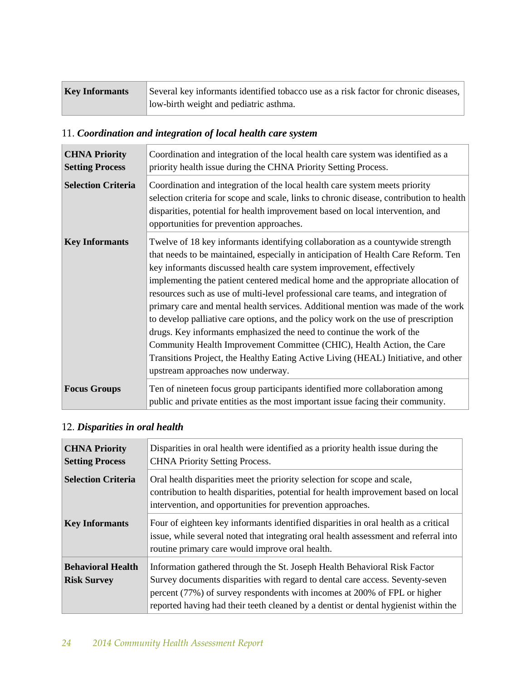| <b>Key Informants</b> | Several key informants identified tobacco use as a risk factor for chronic diseases, |
|-----------------------|--------------------------------------------------------------------------------------|
|                       | low-birth weight and pediatric asthma.                                               |

# 11. *Coordination and integration of local health care system*

| <b>CHNA Priority</b><br><b>Setting Process</b> | Coordination and integration of the local health care system was identified as a<br>priority health issue during the CHNA Priority Setting Process.                                                                                                                                                                                                                                                                                                                                                                                                                                                                                                                                                                                                                                                                                                                          |  |
|------------------------------------------------|------------------------------------------------------------------------------------------------------------------------------------------------------------------------------------------------------------------------------------------------------------------------------------------------------------------------------------------------------------------------------------------------------------------------------------------------------------------------------------------------------------------------------------------------------------------------------------------------------------------------------------------------------------------------------------------------------------------------------------------------------------------------------------------------------------------------------------------------------------------------------|--|
| <b>Selection Criteria</b>                      | Coordination and integration of the local health care system meets priority<br>selection criteria for scope and scale, links to chronic disease, contribution to health<br>disparities, potential for health improvement based on local intervention, and<br>opportunities for prevention approaches.                                                                                                                                                                                                                                                                                                                                                                                                                                                                                                                                                                        |  |
| <b>Key Informants</b>                          | Twelve of 18 key informants identifying collaboration as a countywide strength<br>that needs to be maintained, especially in anticipation of Health Care Reform. Ten<br>key informants discussed health care system improvement, effectively<br>implementing the patient centered medical home and the appropriate allocation of<br>resources such as use of multi-level professional care teams, and integration of<br>primary care and mental health services. Additional mention was made of the work<br>to develop palliative care options, and the policy work on the use of prescription<br>drugs. Key informants emphasized the need to continue the work of the<br>Community Health Improvement Committee (CHIC), Health Action, the Care<br>Transitions Project, the Healthy Eating Active Living (HEAL) Initiative, and other<br>upstream approaches now underway. |  |
| <b>Focus Groups</b>                            | Ten of nineteen focus group participants identified more collaboration among<br>public and private entities as the most important issue facing their community.                                                                                                                                                                                                                                                                                                                                                                                                                                                                                                                                                                                                                                                                                                              |  |

# 12. *Disparities in oral health*

| <b>CHNA Priority</b><br><b>Setting Process</b> | Disparities in oral health were identified as a priority health issue during the<br><b>CHNA Priority Setting Process.</b>                                                                                                                                                                                                      |  |
|------------------------------------------------|--------------------------------------------------------------------------------------------------------------------------------------------------------------------------------------------------------------------------------------------------------------------------------------------------------------------------------|--|
| <b>Selection Criteria</b>                      | Oral health disparities meet the priority selection for scope and scale,<br>contribution to health disparities, potential for health improvement based on local<br>intervention, and opportunities for prevention approaches.                                                                                                  |  |
| <b>Key Informants</b>                          | Four of eighteen key informants identified disparities in oral health as a critical<br>issue, while several noted that integrating oral health assessment and referral into<br>routine primary care would improve oral health.                                                                                                 |  |
| <b>Behavioral Health</b><br><b>Risk Survey</b> | Information gathered through the St. Joseph Health Behavioral Risk Factor<br>Survey documents disparities with regard to dental care access. Seventy-seven<br>percent (77%) of survey respondents with incomes at 200% of FPL or higher<br>reported having had their teeth cleaned by a dentist or dental hygienist within the |  |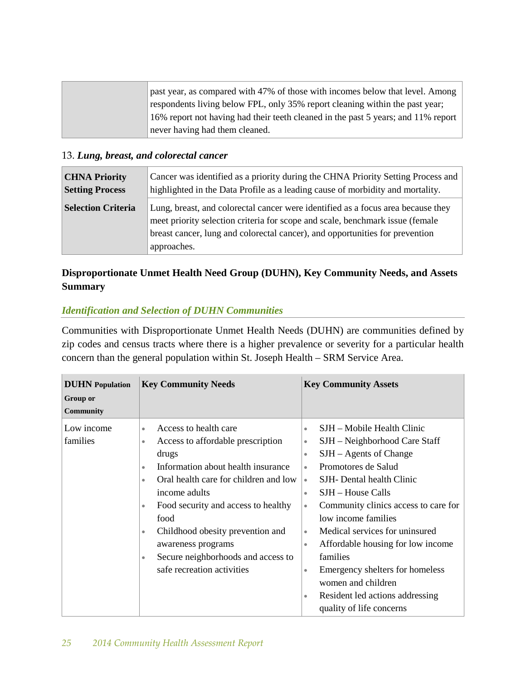|  | past year, as compared with 47% of those with incomes below that level. Among     |
|--|-----------------------------------------------------------------------------------|
|  | respondents living below FPL, only 35% report cleaning within the past year;      |
|  | 16% report not having had their teeth cleaned in the past 5 years; and 11% report |
|  | never having had them cleaned.                                                    |

### 13. *Lung, breast, and colorectal cancer*

| <b>CHNA Priority</b>      | Cancer was identified as a priority during the CHNA Priority Setting Process and                                                                                                                                                                                 |  |
|---------------------------|------------------------------------------------------------------------------------------------------------------------------------------------------------------------------------------------------------------------------------------------------------------|--|
| <b>Setting Process</b>    | highlighted in the Data Profile as a leading cause of morbidity and mortality.                                                                                                                                                                                   |  |
| <b>Selection Criteria</b> | Lung, breast, and colorectal cancer were identified as a focus area because they<br>meet priority selection criteria for scope and scale, benchmark issue (female<br>breast cancer, lung and colorectal cancer), and opportunities for prevention<br>approaches. |  |

# **Disproportionate Unmet Health Need Group (DUHN), Key Community Needs, and Assets Summary**

### *Identification and Selection of DUHN Communities*

Communities with Disproportionate Unmet Health Needs (DUHN) are communities defined by zip codes and census tracts where there is a higher prevalence or severity for a particular health concern than the general population within St. Joseph Health – SRM Service Area.

| <b>DUHN</b> Population<br>Group or<br>Community | <b>Key Community Needs</b>                                                                                                                                                                                                                                                                                                                                                                                                                  | <b>Key Community Assets</b>                                                                                                                                                                                                                                                                                                                                                                                                                                                                                                                                                               |
|-------------------------------------------------|---------------------------------------------------------------------------------------------------------------------------------------------------------------------------------------------------------------------------------------------------------------------------------------------------------------------------------------------------------------------------------------------------------------------------------------------|-------------------------------------------------------------------------------------------------------------------------------------------------------------------------------------------------------------------------------------------------------------------------------------------------------------------------------------------------------------------------------------------------------------------------------------------------------------------------------------------------------------------------------------------------------------------------------------------|
| Low income<br>families                          | Access to health care<br>$\bullet$<br>Access to affordable prescription<br>$\bullet$<br>drugs<br>Information about health insurance<br>$\bullet$<br>Oral health care for children and low<br>$\bullet$<br>income adults<br>Food security and access to healthy<br>$\bullet$<br>food<br>Childhood obesity prevention and<br>$\bullet$<br>awareness programs<br>Secure neighborhoods and access to<br>$\bullet$<br>safe recreation activities | SJH – Mobile Health Clinic<br>$\bullet$<br>SJH – Neighborhood Care Staff<br>$\bullet$<br>$SIH - Agents$ of Change<br>$\bullet$<br>Promotores de Salud<br>$\bullet$<br>SJH- Dental health Clinic<br>$\bullet$<br>SJH – House Calls<br>$\bullet$<br>Community clinics access to care for<br>$\bullet$<br>low income families<br>Medical services for uninsured<br>$\bullet$<br>Affordable housing for low income<br>$\bullet$<br>families<br>Emergency shelters for homeless<br>$\bullet$<br>women and children<br>Resident led actions addressing<br>$\bullet$<br>quality of life concerns |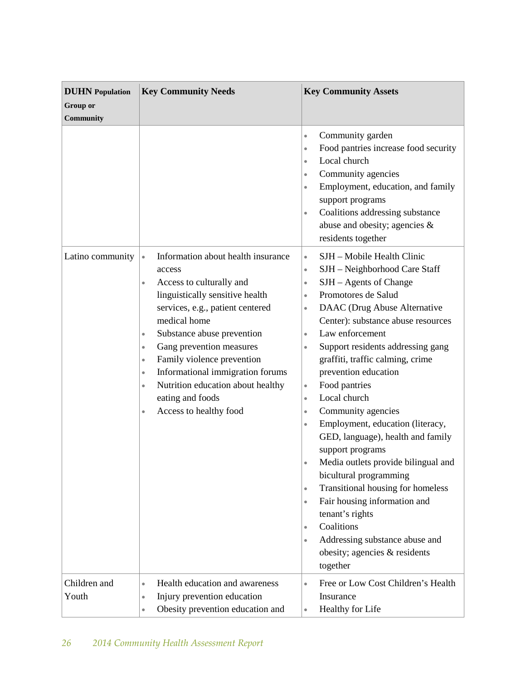| <b>DUHN</b> Population<br><b>Group or</b><br>Community | <b>Key Community Needs</b>                                                                                                                                                                                                                                                                                                                                                                                                                                                             | <b>Key Community Assets</b>                                                                                                                                                                                                                                                                                                                                                                                                                                                                                                                                                                                                                                                                                                                                                                                                                                                                                         |
|--------------------------------------------------------|----------------------------------------------------------------------------------------------------------------------------------------------------------------------------------------------------------------------------------------------------------------------------------------------------------------------------------------------------------------------------------------------------------------------------------------------------------------------------------------|---------------------------------------------------------------------------------------------------------------------------------------------------------------------------------------------------------------------------------------------------------------------------------------------------------------------------------------------------------------------------------------------------------------------------------------------------------------------------------------------------------------------------------------------------------------------------------------------------------------------------------------------------------------------------------------------------------------------------------------------------------------------------------------------------------------------------------------------------------------------------------------------------------------------|
|                                                        |                                                                                                                                                                                                                                                                                                                                                                                                                                                                                        | Community garden<br>$\bullet$<br>Food pantries increase food security<br>$\bullet$<br>Local church<br>$\bullet$<br>Community agencies<br>$\bullet$<br>Employment, education, and family<br>$\bullet$<br>support programs<br>Coalitions addressing substance<br>$\bullet$<br>abuse and obesity; agencies &<br>residents together                                                                                                                                                                                                                                                                                                                                                                                                                                                                                                                                                                                     |
| Latino community                                       | Information about health insurance<br>$\bullet$<br>access<br>Access to culturally and<br>$\bullet$<br>linguistically sensitive health<br>services, e.g., patient centered<br>medical home<br>Substance abuse prevention<br>$\bullet$<br>Gang prevention measures<br>$\bullet$<br>Family violence prevention<br>$\bullet$<br>Informational immigration forums<br>$\bullet$<br>Nutrition education about healthy<br>$\bullet$<br>eating and foods<br>Access to healthy food<br>$\bullet$ | SJH - Mobile Health Clinic<br>$\bullet$<br>SJH - Neighborhood Care Staff<br>$\bullet$<br>SJH – Agents of Change<br>$\bullet$<br>Promotores de Salud<br>$\bullet$<br>DAAC (Drug Abuse Alternative<br>$\bullet$<br>Center): substance abuse resources<br>Law enforcement<br>$\bullet$<br>Support residents addressing gang<br>$\bullet$<br>graffiti, traffic calming, crime<br>prevention education<br>Food pantries<br>$\bullet$<br>Local church<br>$\bullet$<br>Community agencies<br>$\bullet$<br>Employment, education (literacy,<br>$\bullet$<br>GED, language), health and family<br>support programs<br>Media outlets provide bilingual and<br>bicultural programming<br>Transitional housing for homeless<br>$\bullet$<br>Fair housing information and<br>$\bullet$<br>tenant's rights<br>Coalitions<br>$\bullet$<br>Addressing substance abuse and<br>$\bullet$<br>obesity; agencies & residents<br>together |
| Children and<br>Youth                                  | Health education and awareness<br>$\bullet$<br>Injury prevention education<br>$\bullet$<br>Obesity prevention education and<br>$\bullet$                                                                                                                                                                                                                                                                                                                                               | Free or Low Cost Children's Health<br>$\bullet$<br>Insurance<br>Healthy for Life                                                                                                                                                                                                                                                                                                                                                                                                                                                                                                                                                                                                                                                                                                                                                                                                                                    |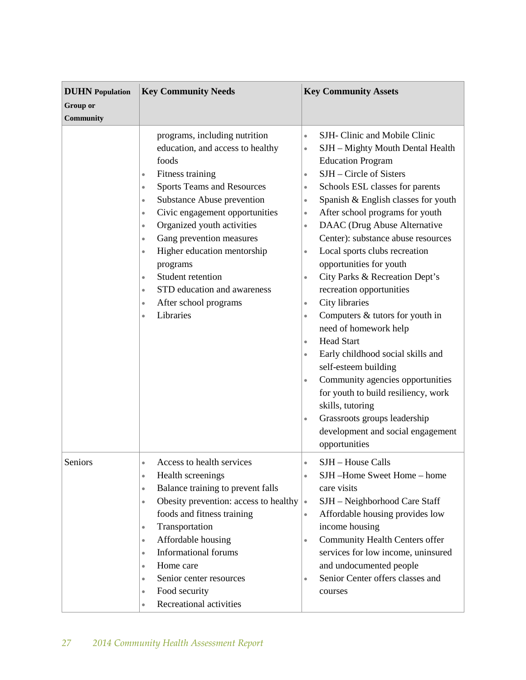| <b>DUHN</b> Population<br><b>Group</b> or<br>Community | <b>Key Community Needs</b>                                                                                                                                                                                                                                                                                                                                                                                                                                                                                                                        | <b>Key Community Assets</b>                                                                                                                                                                                                                                                                                                                                                                                                                                                                                                                                                                                                                                                                                                                                                                                                                                                                                                                                                                     |
|--------------------------------------------------------|---------------------------------------------------------------------------------------------------------------------------------------------------------------------------------------------------------------------------------------------------------------------------------------------------------------------------------------------------------------------------------------------------------------------------------------------------------------------------------------------------------------------------------------------------|-------------------------------------------------------------------------------------------------------------------------------------------------------------------------------------------------------------------------------------------------------------------------------------------------------------------------------------------------------------------------------------------------------------------------------------------------------------------------------------------------------------------------------------------------------------------------------------------------------------------------------------------------------------------------------------------------------------------------------------------------------------------------------------------------------------------------------------------------------------------------------------------------------------------------------------------------------------------------------------------------|
|                                                        | programs, including nutrition<br>education, and access to healthy<br>foods<br>Fitness training<br>$\bullet$<br><b>Sports Teams and Resources</b><br>$\bullet$<br>Substance Abuse prevention<br>$\bullet$<br>Civic engagement opportunities<br>$\bullet$<br>Organized youth activities<br>$\bullet$<br>Gang prevention measures<br>$\bullet$<br>Higher education mentorship<br>$\bullet$<br>programs<br>Student retention<br>$\bullet$<br>STD education and awareness<br>$\bullet$<br>After school programs<br>$\bullet$<br>Libraries<br>$\bullet$ | SJH- Clinic and Mobile Clinic<br>$\bullet$<br>SJH - Mighty Mouth Dental Health<br>$\bullet$<br><b>Education Program</b><br>$SIH - Circle$ of Sisters<br>$\bullet$<br>Schools ESL classes for parents<br>$\bullet$<br>Spanish & English classes for youth<br>$\bullet$<br>After school programs for youth<br>$\bullet$<br>DAAC (Drug Abuse Alternative<br>$\bullet$<br>Center): substance abuse resources<br>Local sports clubs recreation<br>$\bullet$<br>opportunities for youth<br>City Parks & Recreation Dept's<br>$\bullet$<br>recreation opportunities<br>City libraries<br>$\bullet$<br>Computers & tutors for youth in<br>$\bullet$<br>need of homework help<br><b>Head Start</b><br>$\bullet$<br>Early childhood social skills and<br>$\bullet$<br>self-esteem building<br>Community agencies opportunities<br>$\bullet$<br>for youth to build resiliency, work<br>skills, tutoring<br>Grassroots groups leadership<br>$\bullet$<br>development and social engagement<br>opportunities |
| Seniors                                                | Access to health services<br>$\bullet$<br>Health screenings<br>$\bullet$<br>Balance training to prevent falls<br>$\bullet$<br>Obesity prevention: access to healthy<br>$\bullet$<br>foods and fitness training<br>Transportation<br>$\bullet$<br>Affordable housing<br>$\bullet$<br><b>Informational forums</b><br>$\bullet$<br>Home care<br>$\bullet$<br>Senior center resources<br>$\bullet$<br>Food security<br>$\bullet$<br>Recreational activities<br>$\bullet$                                                                              | SJH - House Calls<br>$\bullet$<br>SJH-Home Sweet Home-home<br>$\bullet$<br>care visits<br>SJH - Neighborhood Care Staff<br>$\bullet$<br>Affordable housing provides low<br>$\bullet$<br>income housing<br>Community Health Centers offer<br>$\bullet$<br>services for low income, uninsured<br>and undocumented people<br>Senior Center offers classes and<br>$\bullet$<br>courses                                                                                                                                                                                                                                                                                                                                                                                                                                                                                                                                                                                                              |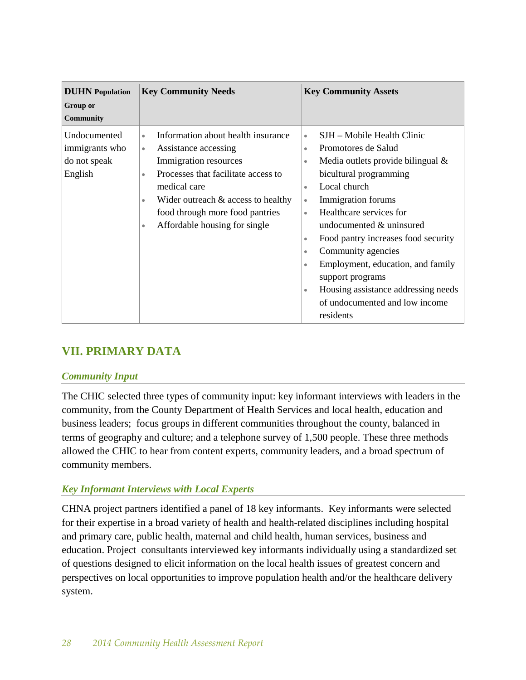| <b>DUHN</b> Population<br>Group or<br><b>Community</b>    | <b>Key Community Needs</b>                                                                                                                                                                                                                                                                                              | <b>Key Community Assets</b>                                                                                                                                                                                                                                                                                                                                                                                                                                                                                                                                 |
|-----------------------------------------------------------|-------------------------------------------------------------------------------------------------------------------------------------------------------------------------------------------------------------------------------------------------------------------------------------------------------------------------|-------------------------------------------------------------------------------------------------------------------------------------------------------------------------------------------------------------------------------------------------------------------------------------------------------------------------------------------------------------------------------------------------------------------------------------------------------------------------------------------------------------------------------------------------------------|
| Undocumented<br>immigrants who<br>do not speak<br>English | Information about health insurance<br>$\bullet$<br>Assistance accessing<br>$\bullet$<br>Immigration resources<br>Processes that facilitate access to<br>$\bullet$<br>medical care<br>Wider outreach $&$ access to healthy<br>$\bullet$<br>food through more food pantries<br>Affordable housing for single<br>$\bullet$ | SJH - Mobile Health Clinic<br>$\bullet$<br>Promotores de Salud<br>$\bullet$<br>Media outlets provide bilingual &<br>$\bullet$<br>bicultural programming<br>Local church<br>$\bullet$<br>Immigration forums<br>$\bullet$<br>Healthcare services for<br>$\bullet$<br>undocumented & uninsured<br>Food pantry increases food security<br>$\bullet$<br>Community agencies<br>$\bullet$<br>Employment, education, and family<br>$\bullet$<br>support programs<br>Housing assistance addressing needs<br>$\bullet$<br>of undocumented and low income<br>residents |

# **VII. PRIMARY DATA**

## *Community Input*

The CHIC selected three types of community input: key informant interviews with leaders in the community, from the County Department of Health Services and local health, education and business leaders; focus groups in different communities throughout the county, balanced in terms of geography and culture; and a telephone survey of 1,500 people. These three methods allowed the CHIC to hear from content experts, community leaders, and a broad spectrum of community members.

# *Key Informant Interviews with Local Experts*

CHNA project partners identified a panel of 18 key informants. Key informants were selected for their expertise in a broad variety of health and health-related disciplines including hospital and primary care, public health, maternal and child health, human services, business and education. Project consultants interviewed key informants individually using a standardized set of questions designed to elicit information on the local health issues of greatest concern and perspectives on local opportunities to improve population health and/or the healthcare delivery system.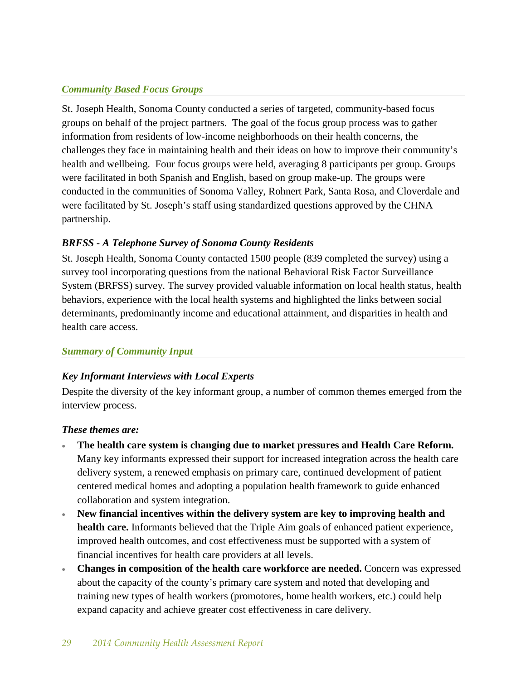## *Community Based Focus Groups*

St. Joseph Health, Sonoma County conducted a series of targeted, community-based focus groups on behalf of the project partners. The goal of the focus group process was to gather information from residents of low-income neighborhoods on their health concerns, the challenges they face in maintaining health and their ideas on how to improve their community's health and wellbeing. Four focus groups were held, averaging 8 participants per group. Groups were facilitated in both Spanish and English, based on group make-up. The groups were conducted in the communities of Sonoma Valley, Rohnert Park, Santa Rosa, and Cloverdale and were facilitated by St. Joseph's staff using standardized questions approved by the CHNA partnership.

# *BRFSS - A Telephone Survey of Sonoma County Residents*

St. Joseph Health, Sonoma County contacted 1500 people (839 completed the survey) using a survey tool incorporating questions from the national Behavioral Risk Factor Surveillance System (BRFSS) survey. The survey provided valuable information on local health status, health behaviors, experience with the local health systems and highlighted the links between social determinants, predominantly income and educational attainment, and disparities in health and health care access.

# *Summary of Community Input*

# *Key Informant Interviews with Local Experts*

Despite the diversity of the key informant group, a number of common themes emerged from the interview process.

## *These themes are:*

- **The health care system is changing due to market pressures and Health Care Reform.** Many key informants expressed their support for increased integration across the health care delivery system, a renewed emphasis on primary care, continued development of patient centered medical homes and adopting a population health framework to guide enhanced collaboration and system integration.
- **New financial incentives within the delivery system are key to improving health and health care.** Informants believed that the Triple Aim goals of enhanced patient experience, improved health outcomes, and cost effectiveness must be supported with a system of financial incentives for health care providers at all levels.
- **Changes in composition of the health care workforce are needed.** Concern was expressed about the capacity of the county's primary care system and noted that developing and training new types of health workers (promotores, home health workers, etc.) could help expand capacity and achieve greater cost effectiveness in care delivery.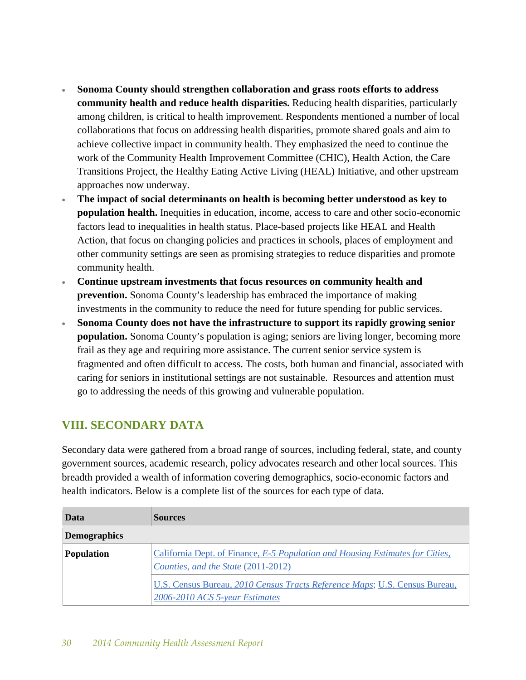- **Sonoma County should strengthen collaboration and grass roots efforts to address community health and reduce health disparities.** Reducing health disparities, particularly among children, is critical to health improvement. Respondents mentioned a number of local collaborations that focus on addressing health disparities, promote shared goals and aim to achieve collective impact in community health. They emphasized the need to continue the work of the Community Health Improvement Committee (CHIC), Health Action, the Care Transitions Project, the Healthy Eating Active Living (HEAL) Initiative, and other upstream approaches now underway.
- **The impact of social determinants on health is becoming better understood as key to population health.** Inequities in education, income, access to care and other socio-economic factors lead to inequalities in health status. Place-based projects like HEAL and Health Action, that focus on changing policies and practices in schools, places of employment and other community settings are seen as promising strategies to reduce disparities and promote community health.
- **Continue upstream investments that focus resources on community health and prevention.** Sonoma County's leadership has embraced the importance of making investments in the community to reduce the need for future spending for public services.
- **Sonoma County does not have the infrastructure to support its rapidly growing senior population.** Sonoma County's population is aging; seniors are living longer, becoming more frail as they age and requiring more assistance. The current senior service system is fragmented and often difficult to access. The costs, both human and financial, associated with caring for seniors in institutional settings are not sustainable. Resources and attention must go to addressing the needs of this growing and vulnerable population.

# **VIII. SECONDARY DATA**

Secondary data were gathered from a broad range of sources, including federal, state, and county government sources, academic research, policy advocates research and other local sources. This breadth provided a wealth of information covering demographics, socio-economic factors and health indicators. Below is a complete list of the sources for each type of data.

| Data                                                                                                                                      | <b>Sources</b>                                                                                               |
|-------------------------------------------------------------------------------------------------------------------------------------------|--------------------------------------------------------------------------------------------------------------|
| <b>Demographics</b>                                                                                                                       |                                                                                                              |
| California Dept. of Finance, E-5 Population and Housing Estimates for Cities,<br><b>Population</b><br>Counties, and the State (2011-2012) |                                                                                                              |
|                                                                                                                                           | U.S. Census Bureau, 2010 Census Tracts Reference Maps; U.S. Census Bureau,<br>2006-2010 ACS 5-year Estimates |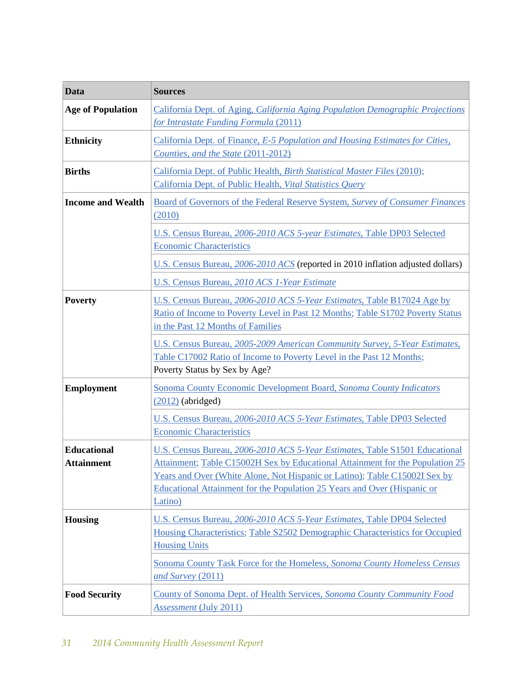| Data                                    | <b>Sources</b>                                                                                                                                                                                                                                                                                                                    |  |
|-----------------------------------------|-----------------------------------------------------------------------------------------------------------------------------------------------------------------------------------------------------------------------------------------------------------------------------------------------------------------------------------|--|
| <b>Age of Population</b>                | California Dept. of Aging, California Aging Population Demographic Projections<br>for Intrastate Funding Formula (2011)                                                                                                                                                                                                           |  |
| <b>Ethnicity</b>                        | California Dept. of Finance, E-5 Population and Housing Estimates for Cities,<br>Counties, and the State (2011-2012)                                                                                                                                                                                                              |  |
| <b>Births</b>                           | California Dept. of Public Health, Birth Statistical Master Files (2010);<br>California Dept. of Public Health, Vital Statistics Query                                                                                                                                                                                            |  |
| <b>Income and Wealth</b>                | Board of Governors of the Federal Reserve System, Survey of Consumer Finances<br>(2010)                                                                                                                                                                                                                                           |  |
|                                         | U.S. Census Bureau, 2006-2010 ACS 5-year Estimates, Table DP03 Selected<br><b>Economic Characteristics</b>                                                                                                                                                                                                                        |  |
|                                         | U.S. Census Bureau, 2006-2010 ACS (reported in 2010 inflation adjusted dollars)                                                                                                                                                                                                                                                   |  |
|                                         | U.S. Census Bureau, 2010 ACS 1-Year Estimate                                                                                                                                                                                                                                                                                      |  |
| <b>Poverty</b>                          | U.S. Census Bureau, 2006-2010 ACS 5-Year Estimates, Table B17024 Age by<br>Ratio of Income to Poverty Level in Past 12 Months; Table S1702 Poverty Status<br>in the Past 12 Months of Families                                                                                                                                    |  |
|                                         | U.S. Census Bureau, 2005-2009 American Community Survey, 5-Year Estimates,<br>Table C17002 Ratio of Income to Poverty Level in the Past 12 Months;<br>Poverty Status by Sex by Age?                                                                                                                                               |  |
| <b>Employment</b>                       | Sonoma County Economic Development Board, Sonoma County Indicators<br>$(2012)$ (abridged)                                                                                                                                                                                                                                         |  |
|                                         | U.S. Census Bureau, 2006-2010 ACS 5-Year Estimates, Table DP03 Selected<br><b>Economic Characteristics</b>                                                                                                                                                                                                                        |  |
| <b>Educational</b><br><b>Attainment</b> | U.S. Census Bureau, 2006-2010 ACS 5-Year Estimates, Table S1501 Educational<br>Attainment; Table C15002H Sex by Educational Attainment for the Population 25<br>Years and Over (White Alone, Not Hispanic or Latino); Table C15002I Sex by<br>Educational Attainment for the Population 25 Years and Over (Hispanic or<br>Latino) |  |
| <b>Housing</b>                          | U.S. Census Bureau, 2006-2010 ACS 5-Year Estimates, Table DP04 Selected<br>Housing Characteristics; Table S2502 Demographic Characteristics for Occupied<br><b>Housing Units</b>                                                                                                                                                  |  |
|                                         | Sonoma County Task Force for the Homeless, Sonoma County Homeless Census<br>and Survey (2011)                                                                                                                                                                                                                                     |  |
| <b>Food Security</b>                    | County of Sonoma Dept. of Health Services, Sonoma County Community Food<br><i>Assessment</i> (July 2011)                                                                                                                                                                                                                          |  |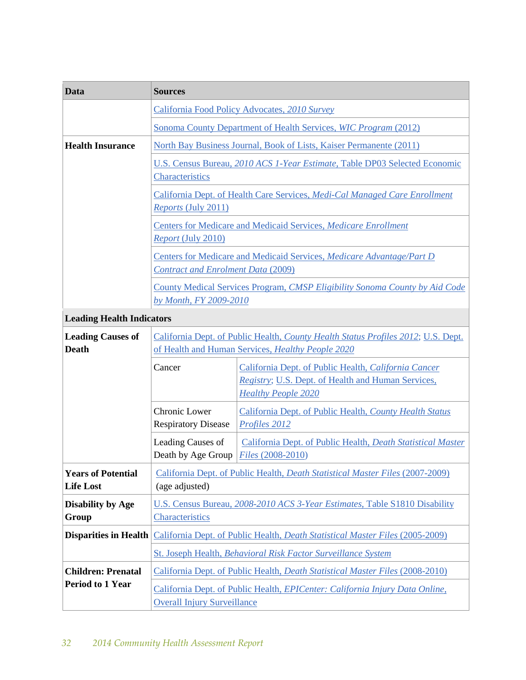| Data                                          | <b>Sources</b>                                                                                                                                 |                                                                                                                                                  |
|-----------------------------------------------|------------------------------------------------------------------------------------------------------------------------------------------------|--------------------------------------------------------------------------------------------------------------------------------------------------|
|                                               | California Food Policy Advocates, 2010 Survey<br>Sonoma County Department of Health Services, WIC Program (2012)                               |                                                                                                                                                  |
|                                               |                                                                                                                                                |                                                                                                                                                  |
| <b>Health Insurance</b>                       |                                                                                                                                                | North Bay Business Journal, Book of Lists, Kaiser Permanente (2011)                                                                              |
|                                               | U.S. Census Bureau, 2010 ACS 1-Year Estimate, Table DP03 Selected Economic<br>Characteristics                                                  |                                                                                                                                                  |
|                                               | California Dept. of Health Care Services, Medi-Cal Managed Care Enrollment<br>Reports (July 2011)                                              |                                                                                                                                                  |
|                                               | Centers for Medicare and Medicaid Services, Medicare Enrollment<br>Report (July 2010)                                                          |                                                                                                                                                  |
|                                               | Centers for Medicare and Medicaid Services, Medicare Advantage/Part D<br><b>Contract and Enrolment Data (2009)</b>                             |                                                                                                                                                  |
|                                               | County Medical Services Program, CMSP Eligibility Sonoma County by Aid Code<br>by Month, FY 2009-2010                                          |                                                                                                                                                  |
| <b>Leading Health Indicators</b>              |                                                                                                                                                |                                                                                                                                                  |
| <b>Leading Causes of</b><br><b>Death</b>      | California Dept. of Public Health, County Health Status Profiles 2012; U.S. Dept.<br>of Health and Human Services, Healthy People 2020         |                                                                                                                                                  |
|                                               | Cancer                                                                                                                                         | California Dept. of Public Health, California Cancer<br><i>Registry</i> ; U.S. Dept. of Health and Human Services,<br><b>Healthy People 2020</b> |
|                                               | Chronic Lower<br><b>Respiratory Disease</b>                                                                                                    | California Dept. of Public Health, County Health Status<br>Profiles 2012                                                                         |
|                                               | Leading Causes of<br>Death by Age Group                                                                                                        | California Dept. of Public Health, Death Statistical Master<br>Files (2008-2010)                                                                 |
| <b>Years of Potential</b><br><b>Life Lost</b> | California Dept. of Public Health, <i>Death Statistical Master Files</i> (2007-2009)<br>(age adjusted)                                         |                                                                                                                                                  |
| <b>Disability by Age</b><br>Group             | U.S. Census Bureau, 2008-2010 ACS 3-Year Estimates, Table S1810 Disability<br>Characteristics                                                  |                                                                                                                                                  |
| <b>Disparities in Health</b>                  | California Dept. of Public Health, <i>Death Statistical Master Files</i> (2005-2009)                                                           |                                                                                                                                                  |
| <b>Children: Prenatal</b>                     | St. Joseph Health, Behavioral Risk Factor Surveillance System<br>California Dept. of Public Health, Death Statistical Master Files (2008-2010) |                                                                                                                                                  |
| <b>Period to 1 Year</b>                       | California Dept. of Public Health, EPICenter: California Injury Data Online,<br><b>Overall Injury Surveillance</b>                             |                                                                                                                                                  |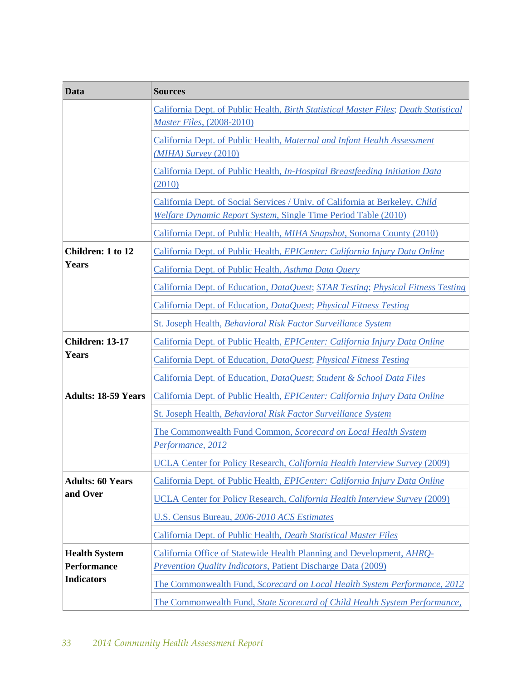| Data                       | <b>Sources</b>                                                                                                                                        |  |
|----------------------------|-------------------------------------------------------------------------------------------------------------------------------------------------------|--|
|                            | California Dept. of Public Health, Birth Statistical Master Files; Death Statistical<br>Master Files, (2008-2010)                                     |  |
|                            | California Dept. of Public Health, Maternal and Infant Health Assessment<br>$(MIHA)$ Survey $(2010)$                                                  |  |
|                            | California Dept. of Public Health, In-Hospital Breastfeeding Initiation Data<br>(2010)                                                                |  |
|                            | California Dept. of Social Services / Univ. of California at Berkeley, Child<br><b>Welfare Dynamic Report System, Single Time Period Table (2010)</b> |  |
|                            | California Dept. of Public Health, MIHA Snapshot, Sonoma County (2010)                                                                                |  |
| Children: 1 to 12          | California Dept. of Public Health, EPICenter: California Injury Data Online                                                                           |  |
| <b>Years</b>               | California Dept. of Public Health, Asthma Data Query                                                                                                  |  |
|                            | California Dept. of Education, DataQuest; STAR Testing; Physical Fitness Testing                                                                      |  |
|                            | California Dept. of Education, DataQuest; Physical Fitness Testing                                                                                    |  |
|                            | St. Joseph Health, Behavioral Risk Factor Surveillance System                                                                                         |  |
| <b>Children: 13-17</b>     | California Dept. of Public Health, EPICenter: California Injury Data Online                                                                           |  |
| <b>Years</b>               | California Dept. of Education, DataQuest; Physical Fitness Testing                                                                                    |  |
|                            | California Dept. of Education, DataQuest; Student & School Data Files                                                                                 |  |
| <b>Adults: 18-59 Years</b> | California Dept. of Public Health, EPICenter: California Injury Data Online                                                                           |  |
|                            | St. Joseph Health, Behavioral Risk Factor Surveillance System                                                                                         |  |
|                            | The Commonwealth Fund Common, Scorecard on Local Health System<br>Performance, 2012                                                                   |  |
|                            | <b>UCLA Center for Policy Research, California Health Interview Survey (2009)</b>                                                                     |  |
| <b>Adults: 60 Years</b>    | California Dept. of Public Health, EPICenter: California Injury Data Online                                                                           |  |
| and Over                   | <b>UCLA Center for Policy Research, California Health Interview Survey (2009)</b>                                                                     |  |
|                            | U.S. Census Bureau, 2006-2010 ACS Estimates                                                                                                           |  |
|                            | California Dept. of Public Health, Death Statistical Master Files                                                                                     |  |
| <b>Health System</b>       | California Office of Statewide Health Planning and Development, AHRQ-                                                                                 |  |
| <b>Performance</b>         | Prevention Quality Indicators, Patient Discharge Data (2009)                                                                                          |  |
| <b>Indicators</b>          | The Commonwealth Fund, Scorecard on Local Health System Performance, 2012                                                                             |  |
|                            | The Commonwealth Fund, State Scorecard of Child Health System Performance,                                                                            |  |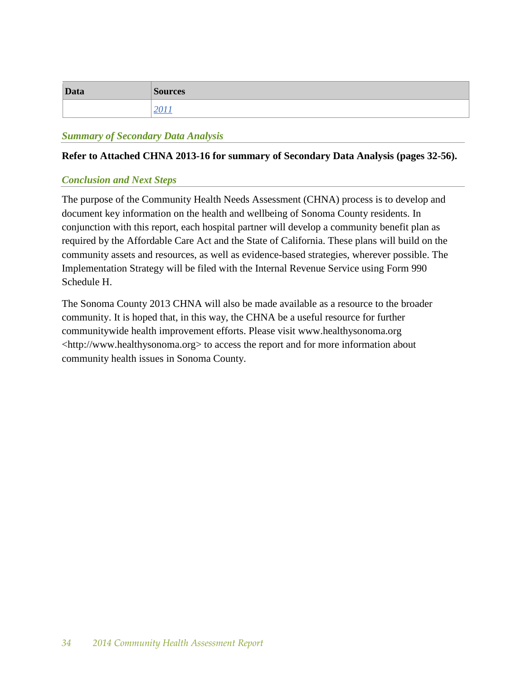| <b>Data</b> | <b>Sources</b> |
|-------------|----------------|
|             |                |

#### *Summary of Secondary Data Analysis*

#### **Refer to Attached CHNA 2013-16 for summary of Secondary Data Analysis (pages 32-56).**

#### *Conclusion and Next Steps*

The purpose of the Community Health Needs Assessment (CHNA) process is to develop and document key information on the health and wellbeing of Sonoma County residents. In conjunction with this report, each hospital partner will develop a community benefit plan as required by the Affordable Care Act and the State of California. These plans will build on the community assets and resources, as well as evidence-based strategies, wherever possible. The Implementation Strategy will be filed with the Internal Revenue Service using Form 990 Schedule H.

The Sonoma County 2013 CHNA will also be made available as a resource to the broader community. It is hoped that, in this way, the CHNA be a useful resource for further communitywide health improvement efforts. Please visit www.healthysonoma.org [<http://www.healthysonoma.org>](http://www.healthysonoma.org/) to access the report and for more information about community health issues in Sonoma County.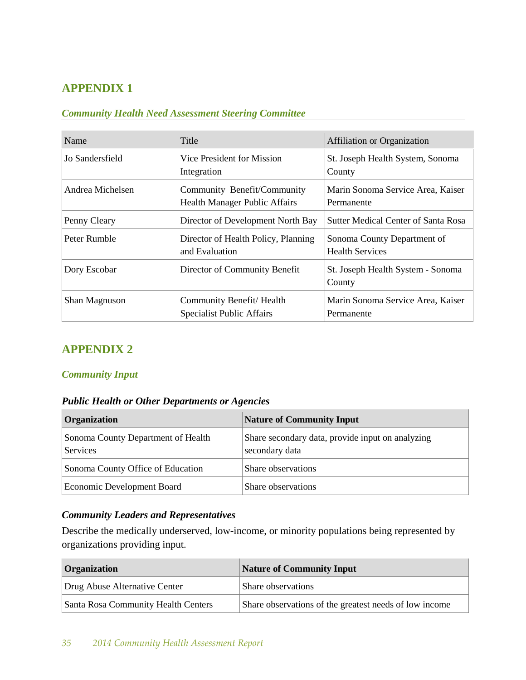# **APPENDIX 1**

## *Community Health Need Assessment Steering Committee*

| Name             | Title                                                               | <b>Affiliation or Organization</b>                    |
|------------------|---------------------------------------------------------------------|-------------------------------------------------------|
| Jo Sandersfield  | Vice President for Mission<br>Integration                           | St. Joseph Health System, Sonoma<br>County            |
| Andrea Michelsen | Community Benefit/Community<br><b>Health Manager Public Affairs</b> | Marin Sonoma Service Area, Kaiser<br>Permanente       |
| Penny Cleary     | Director of Development North Bay                                   | <b>Sutter Medical Center of Santa Rosa</b>            |
| Peter Rumble     | Director of Health Policy, Planning<br>and Evaluation               | Sonoma County Department of<br><b>Health Services</b> |
| Dory Escobar     | Director of Community Benefit                                       | St. Joseph Health System - Sonoma<br>County           |
| Shan Magnuson    | Community Benefit/Health<br><b>Specialist Public Affairs</b>        | Marin Sonoma Service Area, Kaiser<br>Permanente       |

# **APPENDIX 2**

#### *Community Input*

### *Public Health or Other Departments or Agencies*

| Organization                                   | <b>Nature of Community Input</b>                                   |
|------------------------------------------------|--------------------------------------------------------------------|
| Sonoma County Department of Health<br>Services | Share secondary data, provide input on analyzing<br>secondary data |
| Sonoma County Office of Education              | Share observations                                                 |
| Economic Development Board                     | Share observations                                                 |

## *Community Leaders and Representatives*

Describe the medically underserved, low-income, or minority populations being represented by organizations providing input.

| <b>Organization</b>                 | Nature of Community Input                              |
|-------------------------------------|--------------------------------------------------------|
| Drug Abuse Alternative Center       | Share observations                                     |
| Santa Rosa Community Health Centers | Share observations of the greatest needs of low income |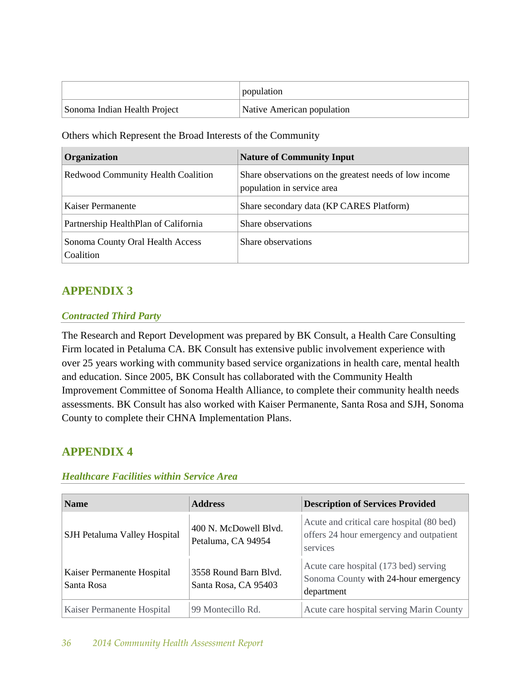|                              | population                 |
|------------------------------|----------------------------|
| Sonoma Indian Health Project | Native American population |

Others which Represent the Broad Interests of the Community

| Organization                                  | <b>Nature of Community Input</b>                                                     |
|-----------------------------------------------|--------------------------------------------------------------------------------------|
| <b>Redwood Community Health Coalition</b>     | Share observations on the greatest needs of low income<br>population in service area |
| Kaiser Permanente                             | Share secondary data (KP CARES Platform)                                             |
| Partnership HealthPlan of California          | Share observations                                                                   |
| Sonoma County Oral Health Access<br>Coalition | Share observations                                                                   |

# **APPENDIX 3**

## *Contracted Third Party*

The Research and Report Development was prepared by BK Consult, a Health Care Consulting Firm located in Petaluma CA. BK Consult has extensive public involvement experience with over 25 years working with community based service organizations in health care, mental health and education. Since 2005, BK Consult has collaborated with the Community Health Improvement Committee of Sonoma Health Alliance, to complete their community health needs assessments. BK Consult has also worked with Kaiser Permanente, Santa Rosa and SJH, Sonoma County to complete their CHNA Implementation Plans.

# **APPENDIX 4**

## *Healthcare Facilities within Service Area*

| <b>Name</b>                              | <b>Address</b>                                | <b>Description of Services Provided</b>                                                          |
|------------------------------------------|-----------------------------------------------|--------------------------------------------------------------------------------------------------|
| SJH Petaluma Valley Hospital             | 400 N. McDowell Blyd.<br>Petaluma, CA 94954   | Acute and critical care hospital (80 bed)<br>offers 24 hour emergency and outpatient<br>services |
| Kaiser Permanente Hospital<br>Santa Rosa | 3558 Round Barn Blvd.<br>Santa Rosa, CA 95403 | Acute care hospital (173 bed) serving<br>Sonoma County with 24-hour emergency<br>department      |
| Kaiser Permanente Hospital               | 99 Montecillo Rd.                             | Acute care hospital serving Marin County                                                         |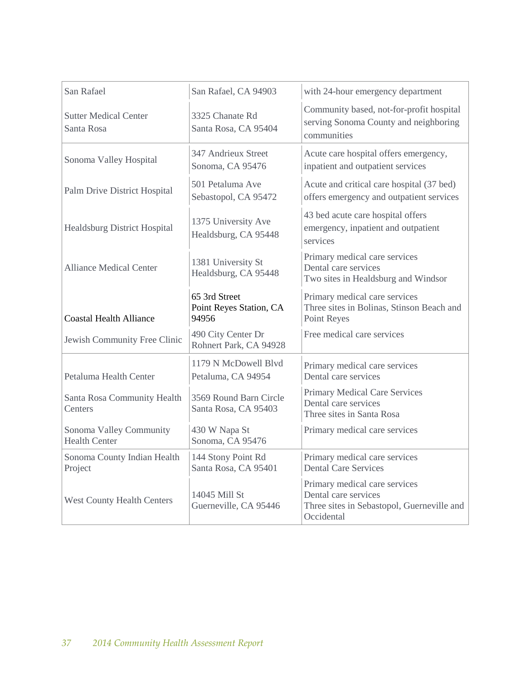| San Rafael                                      | San Rafael, CA 94903                              | with 24-hour emergency department                                                                                 |
|-------------------------------------------------|---------------------------------------------------|-------------------------------------------------------------------------------------------------------------------|
| <b>Sutter Medical Center</b><br>Santa Rosa      | 3325 Chanate Rd<br>Santa Rosa, CA 95404           | Community based, not-for-profit hospital<br>serving Sonoma County and neighboring<br>communities                  |
| Sonoma Valley Hospital                          | 347 Andrieux Street<br>Sonoma, CA 95476           | Acute care hospital offers emergency,<br>inpatient and outpatient services                                        |
| Palm Drive District Hospital                    | 501 Petaluma Ave<br>Sebastopol, CA 95472          | Acute and critical care hospital (37 bed)<br>offers emergency and outpatient services                             |
| Healdsburg District Hospital                    | 1375 University Ave<br>Healdsburg, CA 95448       | 43 bed acute care hospital offers<br>emergency, inpatient and outpatient<br>services                              |
| <b>Alliance Medical Center</b>                  | 1381 University St<br>Healdsburg, CA 95448        | Primary medical care services<br>Dental care services<br>Two sites in Healdsburg and Windsor                      |
| <b>Coastal Health Alliance</b>                  | 65 3rd Street<br>Point Reyes Station, CA<br>94956 | Primary medical care services<br>Three sites in Bolinas, Stinson Beach and<br>Point Reyes                         |
| Jewish Community Free Clinic                    | 490 City Center Dr<br>Rohnert Park, CA 94928      | Free medical care services                                                                                        |
| Petaluma Health Center                          | 1179 N McDowell Blyd<br>Petaluma, CA 94954        | Primary medical care services<br>Dental care services                                                             |
| Santa Rosa Community Health<br>Centers          | 3569 Round Barn Circle<br>Santa Rosa, CA 95403    | <b>Primary Medical Care Services</b><br>Dental care services<br>Three sites in Santa Rosa                         |
| Sonoma Valley Community<br><b>Health Center</b> | 430 W Napa St<br>Sonoma, CA 95476                 | Primary medical care services                                                                                     |
| Sonoma County Indian Health<br>Project          | 144 Stony Point Rd<br>Santa Rosa, CA 95401        | Primary medical care services<br><b>Dental Care Services</b>                                                      |
| <b>West County Health Centers</b>               | 14045 Mill St<br>Guerneville, CA 95446            | Primary medical care services<br>Dental care services<br>Three sites in Sebastopol, Guerneville and<br>Occidental |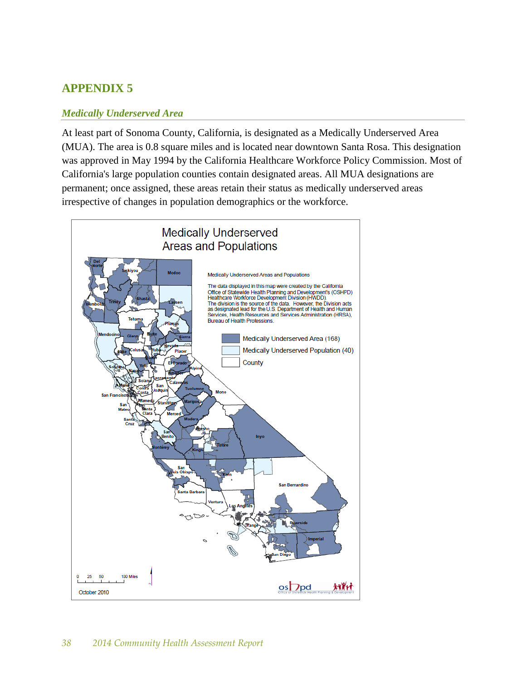# **APPENDIX 5**

#### *Medically Underserved Area*

At least part of Sonoma County, California, is designated as a Medically Underserved Area (MUA). The area is 0.8 square miles and is located near downtown Santa Rosa. This designation was approved in May 1994 by the California Healthcare Workforce Policy Commission. Most of California's large population counties contain designated areas. All MUA designations are permanent; once assigned, these areas retain their status as medically underserved areas irrespective of changes in population demographics or the workforce.

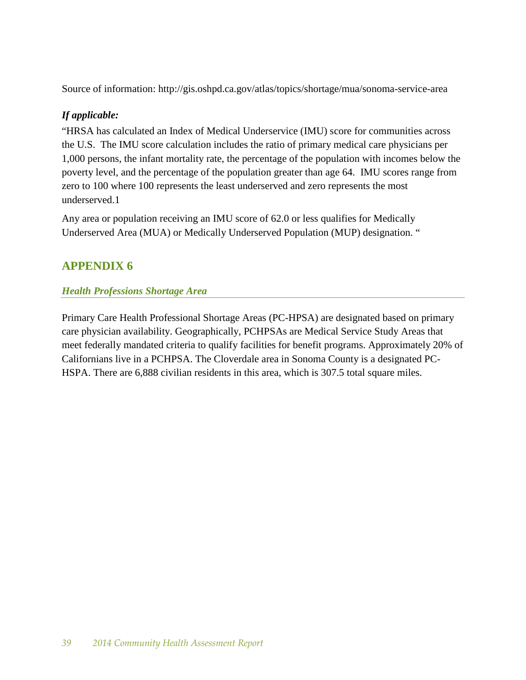Source of information: http://gis.oshpd.ca.gov/atlas/topics/shortage/mua/sonoma-service-area

# *If applicable:*

"HRSA has calculated an Index of Medical Underservice (IMU) score for communities across the U.S. The IMU score calculation includes the ratio of primary medical care physicians per 1,000 persons, the infant mortality rate, the percentage of the population with incomes below the poverty level, and the percentage of the population greater than age 64. IMU scores range from zero to 100 where 100 represents the least underserved and zero represents the most underserved.1

Any area or population receiving an IMU score of 62.0 or less qualifies for Medically Underserved Area (MUA) or Medically Underserved Population (MUP) designation. "

# **APPENDIX 6**

# *Health Professions Shortage Area*

Primary Care Health Professional Shortage Areas (PC-HPSA) are designated based on primary care physician availability. Geographically, PCHPSAs are Medical Service Study Areas that meet federally mandated criteria to qualify facilities for benefit programs. Approximately 20% of Californians live in a PCHPSA. The Cloverdale area in Sonoma County is a designated PC-HSPA. There are 6,888 civilian residents in this area, which is 307.5 total square miles.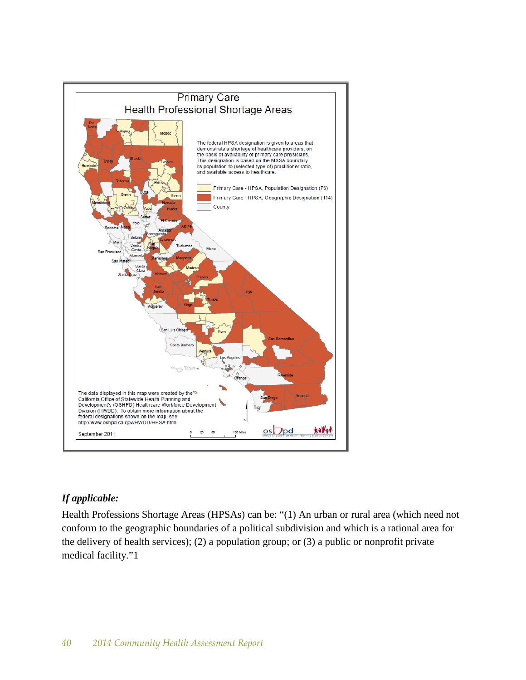

# *If applicable:*

Health Professions Shortage Areas (HPSAs) can be: "(1) An urban or rural area (which need not conform to the geographic boundaries of a political subdivision and which is a rational area for the delivery of health services); (2) a population group; or (3) a public or nonprofit private medical facility."1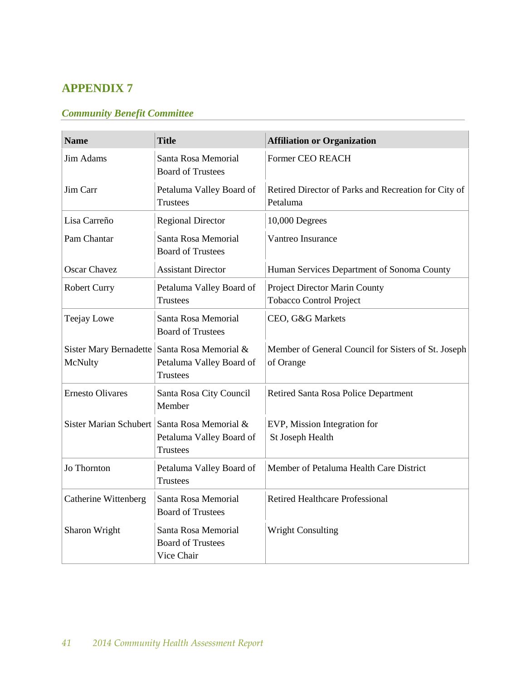# **APPENDIX 7**

# *Community Benefit Committee*

| <b>Name</b>                       | <b>Title</b>                                                         | <b>Affiliation or Organization</b>                               |
|-----------------------------------|----------------------------------------------------------------------|------------------------------------------------------------------|
| <b>Jim Adams</b>                  | Santa Rosa Memorial<br><b>Board of Trustees</b>                      | <b>Former CEO REACH</b>                                          |
| Jim Carr                          | Petaluma Valley Board of<br><b>Trustees</b>                          | Retired Director of Parks and Recreation for City of<br>Petaluma |
| Lisa Carreño                      | <b>Regional Director</b>                                             | 10,000 Degrees                                                   |
| Pam Chantar                       | Santa Rosa Memorial<br><b>Board of Trustees</b>                      | Vantreo Insurance                                                |
| <b>Oscar Chavez</b>               | <b>Assistant Director</b>                                            | Human Services Department of Sonoma County                       |
| <b>Robert Curry</b>               | Petaluma Valley Board of<br><b>Trustees</b>                          | Project Director Marin County<br><b>Tobacco Control Project</b>  |
| Teejay Lowe                       | Santa Rosa Memorial<br><b>Board of Trustees</b>                      | CEO, G&G Markets                                                 |
| Sister Mary Bernadette<br>McNulty | Santa Rosa Memorial &<br>Petaluma Valley Board of<br><b>Trustees</b> | Member of General Council for Sisters of St. Joseph<br>of Orange |
| <b>Ernesto Olivares</b>           | Santa Rosa City Council<br>Member                                    | Retired Santa Rosa Police Department                             |
| Sister Marian Schubert            | Santa Rosa Memorial &<br>Petaluma Valley Board of<br><b>Trustees</b> | EVP, Mission Integration for<br>St Joseph Health                 |
| Jo Thornton                       | Petaluma Valley Board of<br><b>Trustees</b>                          | Member of Petaluma Health Care District                          |
| Catherine Wittenberg              | Santa Rosa Memorial<br><b>Board of Trustees</b>                      | <b>Retired Healthcare Professional</b>                           |
| Sharon Wright                     | Santa Rosa Memorial<br><b>Board of Trustees</b><br>Vice Chair        | <b>Wright Consulting</b>                                         |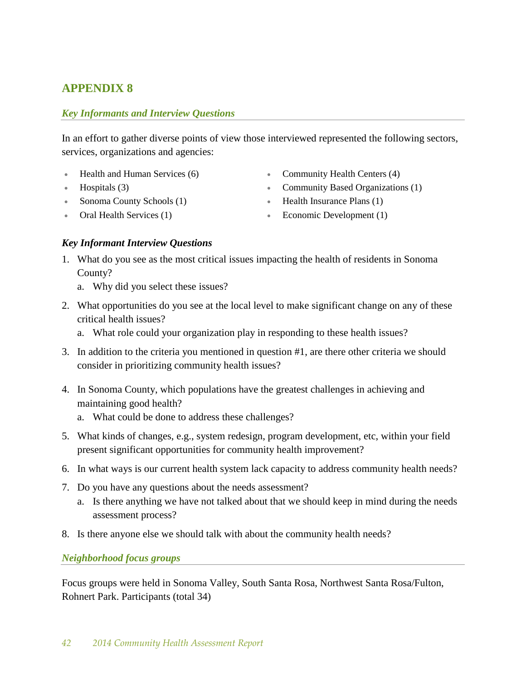# **APPENDIX 8**

## *Key Informants and Interview Questions*

In an effort to gather diverse points of view those interviewed represented the following sectors, services, organizations and agencies:

- Health and Human Services (6)
- Hospitals (3)
- Sonoma County Schools (1)
- Oral Health Services (1)
- Community Health Centers (4)
- Community Based Organizations (1)
- Health Insurance Plans (1)
- Economic Development (1)

## *Key Informant Interview Questions*

- 1. What do you see as the most critical issues impacting the health of residents in Sonoma County?
	- a. Why did you select these issues?
- 2. What opportunities do you see at the local level to make significant change on any of these critical health issues?
	- a. What role could your organization play in responding to these health issues?
- 3. In addition to the criteria you mentioned in question #1, are there other criteria we should consider in prioritizing community health issues?
- 4. In Sonoma County, which populations have the greatest challenges in achieving and maintaining good health?
	- a. What could be done to address these challenges?
- 5. What kinds of changes, e.g., system redesign, program development, etc, within your field present significant opportunities for community health improvement?
- 6. In what ways is our current health system lack capacity to address community health needs?
- 7. Do you have any questions about the needs assessment?
	- a. Is there anything we have not talked about that we should keep in mind during the needs assessment process?
- 8. Is there anyone else we should talk with about the community health needs?

*Neighborhood focus groups* 

Focus groups were held in Sonoma Valley, South Santa Rosa, Northwest Santa Rosa/Fulton, Rohnert Park. Participants (total 34)